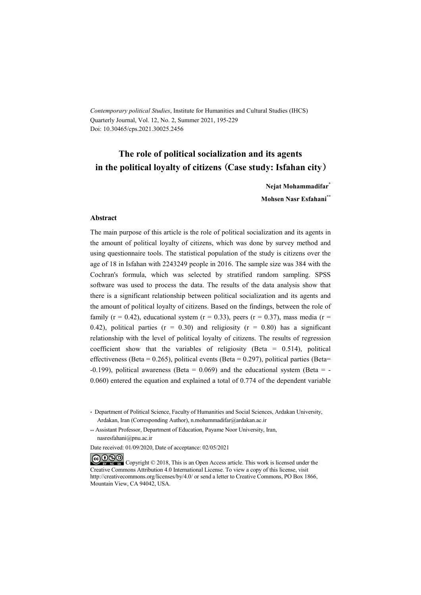*Contemporary political Studies*, Institute for Humanities and Cultural Studies (IHCS) Quarterly Journal, Vol. 12, No. 2, Summer 2021, 195-229 Doi: 10.30465/cps.2021.30025.2456

# **The role of political socialization and its agents in the political loyalty of citizens (Case study: Isfahan city)**

**Nejat Mohammadifar\* Mohsen Nasr Esfahani\*\***

#### **Abstract**

The main purpose of this article is the role of political socialization and its agents in the amount of political loyalty of citizens, which was done by survey method and using questionnaire tools. The statistical population of the study is citizens over the age of 18 in Isfahan with 2243249 people in 2016. The sample size was 384 with the Cochran's formula, which was selected by stratified random sampling. SPSS software was used to process the data. The results of the data analysis show that there is a significant relationship between political socialization and its agents and the amount of political loyalty of citizens. Based on the findings, between the role of family ( $r = 0.42$ ), educational system ( $r = 0.33$ ), peers ( $r = 0.37$ ), mass media ( $r =$ 0.42), political parties ( $r = 0.30$ ) and religiosity ( $r = 0.80$ ) has a significant relationship with the level of political loyalty of citizens. The results of regression coefficient show that the variables of religiosity (Beta =  $0.514$ ), political effectiveness (Beta =  $0.265$ ), political events (Beta =  $0.297$ ), political parties (Beta= -0.199), political awareness (Beta =  $0.069$ ) and the educational system (Beta = -0.060) entered the equation and explained a total of 0.774 of the dependent variable

<sup>\*</sup> Department of Political Science, Faculty of Humanities and Social Sciences, Ardakan University, Ardakan, Iran (Corresponding Author), n.mohammadifar@ardakan.ac.ir

<sup>\*\*</sup> Assistant Professor, Department of Education, Payame Noor University, Iran, nasresfahani@pnu.ac.ir

Date received: 01/09/2020, Date of acceptance: 02/05/2021

COOO Copyright © 2018, This is an Open Access article. This work is licensed under the Creative Commons Attribution 4.0 International License. To view a copy of this license, visit http://creativecommons.org/licenses/by/4.0/ or send a letter to Creative Commons, PO Box 1866, Mountain View, CA 94042, USA.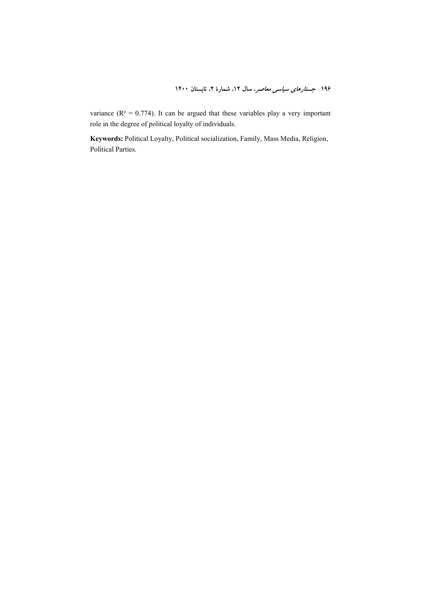variance ( $R^2 = 0.774$ ). It can be argued that these variables play a very important role in the degree of political loyalty of individuals.

**Keywords:** Political Loyalty, Political socialization, Family, Mass Media, Religion, Political Parties.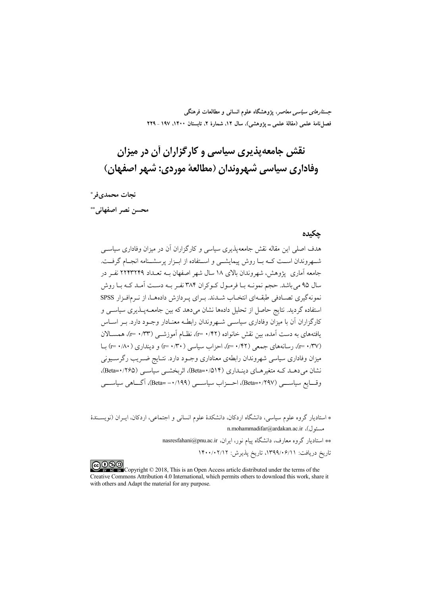*جستارهای سیاسی معاصر*، پژوهشگاه علوم انسانی و مطالعات فرهنگی فصل نامهٔ علمی (مقالهٔ علمی ــ یژوهشی)، سال ۱۲، شمارهٔ ۲، تابستان ۱۴۰۰، ۱۹۷ ـ ۲۲۹

# نقش جامعهپذیری سیاسی و کارگزاران آن در میزان وفاداري سياسي شهروندان (مطالعة موردي: شهر اصفهان)

نجات محمديفر \*

محسن نصر اصفهاني.\*\*

#### حكىدە

هدف اصلی این مقاله نقش جامعه پذیری سیاسی و کارگزاران آن در میزان وفاداری سیاسی شبه وندان است کبه بیا روش پیمایشبی و استفاده از ابیزار پرسشینامه انجبام گرفت. جامعه آماری یژوهش، شهروندان بالای ۱۸ سال شهر اصفهان بــه تعــداد ۲۲۴۳۲۴۹ نفـر در سال ۹۵ می باشد. حجم نمونـه بـا فرمـول کـوکران ۳۸۴ نفـر بـه دسـت آمـد کـه بـا روش نمونه گیری تصـادفی طبقـهای انتخـاب شـدند. بـرای یـردازش دادههـا، از نـرمافـزار SPSS استفاده گردید. نتایج حاصل از تحلیل دادهها نشان می دهد که بین جامعــهیــذیری سیاســی و کارگزاران آن با میزان وفاداری سیاسبی شـهروندان رابطـه معنـادار وجـود دارد. بـر اسـاس يافتههاي به دست آمده، بين نقش خانواده (٢٢/٠ =٢)، نظــام آموزشــي (٣٣/٠ =٢)، همســالان (۲۷/ ۳۰=۲)، رسانههای جمعی (۲۲/ ۰ =۲)، احزاب سیاسی (۳۰/ ۰۱ =۲) و دینداری (۸۰/ ۰ =۲) با میزان وفاداری سیاسی شهروندان رابطهی معناداری وجـود دارد. نتــایج ضــریب رگرســیونی نشان می دهــد کــه متغیرهــای دینــداری (۵۱۴-Beta)، اثربخشــی سیاســی (۱۲۶۵-Beta)، وقـــايع سياســـي (١٢٩٧-Beta)، احـــزاب سياســـي (١٩٩٩/٠-=Beta)، آگـــاهي سياســـي

\* استادیار گروه علوم سیاسی، دانشگاه اردکان، دانشکدهٔ علوم انسانی و اجتماعی، اردکان، ایـران (نویســندهٔ n.mohammadifar@ardakan.ac.ir ،(مسئول)، \*\* استادیار گروه معارف، دانشگاه پیام نور، ایران، nasresfahani@pnu.ac.ir تاريخ دريافت: ١٣٩٩/٠۶/١١، تاريخ پذيرش: ١٣٠٠/٠٢/١٢

COOD Copyright © 2018, This is an Open Access article distributed under the terms of the Creative Commons Attribution 4.0 International, which permits others to download this work, share it with others and Adapt the material for any purpose.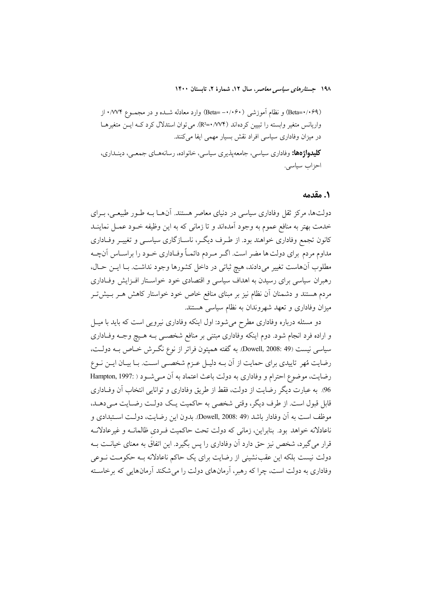(Beta=۰/۰۶۹) و نظام آموزشی (۰/۰۶۰–Beta) وارد معادله شـده و در مجمـوع ۰/۷۷۴ از واریانس متغیر وابسته را تبیین کردهاند (۱/۷۴+=R2). می توان استدلال کرد کـه ایــن متغیرهــا در میزان وفاداری سیاسی افراد نقش بسیار مهمی ایفا میکنند.

**کلیدواژهها:** وفاداري سياسي، جامعه يذيري سياسي، خانواده، رسانههـاي جمعـي، دينــداري، احزاب سياسى.

#### ١. مقدمه

دولتها، مرکز ثقل وفاداری سیاسی در دنیای معاصر هستند. آنهــا بــه طــور طبیعــی، بــرای خدمت بهتر به منافع عموم به وجود آمدهاند و تا زمانی که به این وظیفه خـود عمـل نماینــد کانون تجمع وفاداری خواهند بود. از طـرف دیگـر، ناسـازگاری سیاســی و تغییــر وفــاداری مداوم مردم برای دولت ها مضر است. اگـر مـردم دائمـاً وفـاداری خـود را براسـاس آنچـه مطلوب آنهاست تغییر میدادند، هیچ ثباتی در داخل کشورها وجود نداشت. بـا ایــن حـال، رهبران سیاسی برای رسیدن به اهداف سیاسی و اقتصادی خود خواستار افزایش وفاداری مردم هستند و دشمنان آن نظام نیز بر مبنای منافع خاص خود خواستار کاهش هـر بـیش5ـر میزان وفاداری و تعهد شهروندان به نظام سیاسی هستند.

دو مسئله درباره وفاداری مطرح میشود: اول اینکه وفاداری نیرویی است که باید با میـل و اراده فرد انجام شود. دوم اینکه وفاداری مبتنی بر منافع شخصـی بـه هـیچ وجـه وفـاداری سیاسی نیست (Dowell, 2008: 49). به گفته همپتون فراتر از نوع نگـرش خـاص بــه دولــت، رضایت مُهر تاییدی برای حمایت از آن بـه دلیـل عـزم شخصـی اسـت. بـا بیـان ایـن نـوع رضايت، موضوع احترام و وفاداري به دولت باعث اعتماد به آن مـي شـود ( :Hampton, 1997 96. به عبارت دیگر رضایت از دولت، فقط از طریق وفاداری و توانایی انتخاب آن وفـاداری قابل قبول است. از طرف دیگر، وقتی شخصی به حاکمیت یک دولت رضایت مـیدهـد. موظف است به آن وفادار باشد (Dowell, 2008: 49). بدون این رضایت، دولت استبدادی و ناعادلانه خواهد بود. بنابراین، زمانی که دولت تحت حاکمیت فـردی ظالمانــه و غیرعادلانــه قرار می گیرد، شخص نیز حق دارد آن وفاداری را پس بگیرد. این اتفاق به معنای خیانــت بــه دولت نیست بلکه این عقب نشینی از رضایت برای یک حاکم ناعادلانه بـه حکومـت نــوعی وفاداری به دولت است، چرا که رهبر، آرمانهای دولت را می شکند آرمانهایی که برخاسته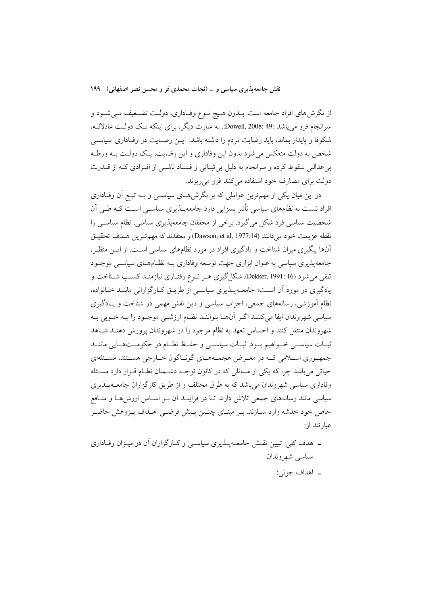از نگرش۵های افراد جامعه است. بــدون هــیچ نــوع وفــاداری، دولــت تضــعیف مــیشــود و سرانجام فرو مي ياشد (Dowell, 2008: 49. به عبارت ديگر، براي اينكه يـك دولـت عادلانــه، شکوفا و پایدار بماند، باید رضایت مردم را داشته باشد. ایــن رضـایت در وفـاداری سیاســی شخص به دولت منعکس می شود بدون این وفاداری و این رضایت، یـک دولـت بـه ورطـه بی عدالتی سقوط کرده و سرانجام به دلیل بی ثبـاتی و فسـاد ناشــی از افــرادی کــه از قــدرت دولت برای مصارف خود استفاده میکنند فرو میریزند.

در این میان یکی از مهمترین عواملی که بر نگرش۵حای سیاســی و بــه تبــع آن وفــاداری افراد نسبت به نظامهای سیاسی تأثیر بسزایی دارد جامعهپـذیری سیاسـی اسـت کـه طـی آن شخصیت سیاسی فرد شکل می گیرد. برخی از محققان جامعهپذیری سیاسی، نظام سیاســی را نقطه عزيمت خود مي دانند (Dawson, et al, 1977:14) و معتقدند كه مهم تسرين هسدف تحقسق آنها پیگیری میزان شناخت و یادگیری افراد در مورد نظامهای سیاسی است. از ایـن منظـر، جامعه پذیری سیاسی به عنوان ابزاری جهت توسعه وفاداری بـه نظـامهـای سیاسـبی موجـود تلقی میشود (Dekker, 1991: 16. شکل گیری هـر نـوع رفتـاری نیازمنـد کسـب شـناخت و یادگیری در مورد آن است؛ جامعــهپــذیری سیاســی از طریــق کــارگزارانی ماننــد خــانواده، نظام آموزشی، رسانههای جمعی، احزاب سیاسی و دین نقش مهمی در شناخت و یـادگیری سیاسی شهروندان ایفا میکننـد اگـر آنهـا بتواننـد نظـام ارزشــی موجـود را بــه خـوبی بــه شهروندان منتقل كنند و احساس تعهد به نظام موجود را در شهروندان پرورش دهنـد شـاهد ثبيات سياسي خسواهيم بسود. ثبيات سياسي و حفيظ نظبام در حكومستهسايي ماننيد جمهـوري اســلامي كــه در معـرض هجمــههــاي گونــاگون خــارجي هســتند، مســئلهاي حیاتی میباشد چرا که یکی از مسائلی که در کانون توجـه دشـمنان نظـام قـرار دارد مسـئله وفاداری سیاسی شهروندان می باشد که به طرق مختلف و از طریق کارگزاران جامعــهپــذیری سیاسی مانند رسانههای جمعی تلاش دارند تـا در فراینــد آن بــر اســاس ارزش۵حـا و منــافع خاص خود خدشه وارد ســازند. بـر مبنــاي چنــین پــیش فرضــی اهــداف پــژوهش حاضــر عبارتند از:

۔ هدف کلی: تبیین نقـش جامعــهیــذیری سیاســی و کــارگزاران آن در میــزان وفــاداری سياسي شهروندان ۔ اهداف جزئي: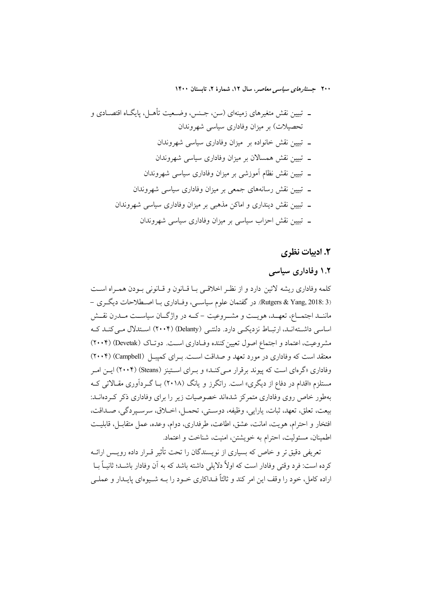### ۲. ادبیات نظری

### ۱.۲ وفاداری سیاسی

كلمه وفاداري ريشه لاتين دارد و از نظـر اخلاقـي بـا قـانون و قـانوني بـودن همـراه اسـت (2018: Rutgers & Yang, 2018). در گفتمان علوم سیاسـی، وفـاداری بـا اصـطلاحات دیگـری – ماننــد اجتمــاع، تعهــد، هويــت و مشــروعيت –كــه در واژگــان سياســت مــدرن نقــش اساسی داشتهانـد، ارتبـاط نزدیکـی دارد. دلنتـی (Delanty) (۲۰۰۴) اسـتدلال مـی کنـد کـه مشروعیت، اعتماد و اجتماع اصول تعیین کننده وفـاداری اسـت. دوتـاک (Devetak) (۲۰۰۴) معتقد است که وفاداری در مورد تعهد و صداقت است. بـرای کمیبـل (Campbell) (۲۰۰۴) وفاداری «گرمای است که پیوند برقرار مبی کنــد» و بــرای اســتینز (Steans) (۲۰۰۴) ایــن امــر مستلزم «اقدام در دفاع از دیگری» است. راتگرز و یانگ (۲۰۱۸) بــا گــردآوری مقــالات<sub>ی</sub> کــه بهطور خاص روی وفاداری متمرکز شدهاند خصوصیات زیر را برای وفاداری ذکر کـردهانــد: بيعت، تعلق، تعهد، ثبات، يارايي، وظيفه، دوستي، تحمـل، اخـلاق، سرسـيردگي، صـداقت، افتخار و احترام، هويت، امانت، عشق، اطاعت، طرفداري، دوام، وعده، عمل متقابـل، قابليـت اطمینان، مسئولیت، احترام به خویشتن، امنیت، شناخت و اعتماد.

تعریفی دقیق تر و خاص که بسیاری از نویسندگان را تحت تأثیر قــرار داده رویــس ارائــه کرده است: فرد وقتی وفادار است که اولاً دلایلی داشته باشد که به آن وفادار باشــد؛ ثانیــاً بــا اراده کامل، خود را وقف این امر کند و ثالثاً فـداکاری خـود را بــه شــیوهای پایــدار و عملــی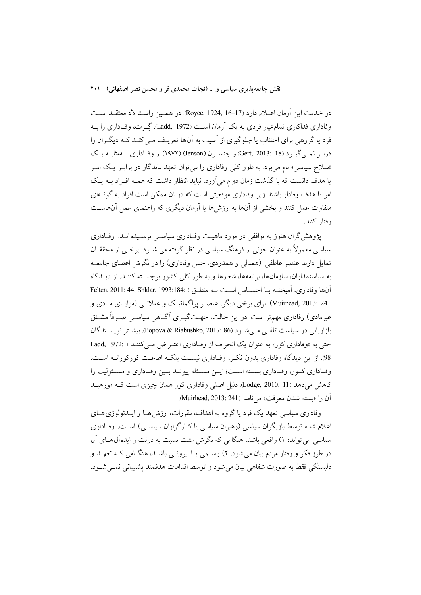در خدمت اين أرمان اعــلام دارد (Royce, 1924, 16–17). در همـين راسـتا لاد معتقــد اســت وفاداری فداکاری تمامعیار فردی به یک آرمان است (Ladd, 1972). گِـرت، وفـاداری را بــه فرد یا گروهی برای اجتناب یا جلوگیری از آسیب به آنها تعریـف مـی کنـد کـه دیگـران را دربہ نمبی گیہ د (Gert, 2013: 18) و جنسون (Jenson) (۱۹۷۲) از وفـاداری بــهمثابــه یــک «سلاح سیاسی» نام می برد. به طور کلی وفاداری را می توان تعهد ماندگار در برابـر یـک امـر یا هدف دانست که با گذشت زمان دوام می آورد. نباید انتظار داشت که همـه افـراد بـه یـک امر یا هدف وفادار باشند زیرا وفاداری موقعیتی است که در آن ممکن است افراد به گونـهای متفاوت عمل کنند و بخشی از آنها به ارزشها یا آرمان دیگری که راهنمای عمل آنهاست رفتار كنند.

پژوهش گران هنوز به توافقی در مورد ماهیت وفیاداری سیاستی نرسیده انید. وفیاداری سیاسی معمولاً به عنوان جزئی از فرهنگ سیاسی در نظر گرفته می شــود. برخــی از محققــان تمایل دارند عنصر عاطفی (همدلی و همدردی، حس وفاداری) را در نگرش اعضای جامعـه به سیاستمداران، سازمانها، برنامهها، شعارها و به طور کلی کشور برجسته کننـد. از دیـدگاه آنها وفاداري، آميختـه بــا احســاس اسـت نــه منطــق ( Felten, 2011: 44; Shklar, 1993:184; Muirhead, 2013: 241). برای برخی دیگر، عنصـر پراگماتیـک و عقلانـی (مزایـای مــادی و غیرمادی) وفاداری مهم تر است. در این حالت، جهـتگیــری آگــاهی سیاســی صــرفاً مشــتق بازاريايي در سياست تلقبي مبي شـود (Popova & Riabushko, 2017: 86). بيشـتر نويســندگان حتی به «وفاداری کور» به عنوان یک انحراف از وفاداری اعتـراض مـی کننـد ( :Ladd, 1972 98. از این دیدگاه وفاداری بدون فکر، وفـاداری نیسـت بلکـه اطاعـت کورکورانـه اسـت. وفـاداري كـور، وفـاداري بسـته اسـت؛ ايـن مسـئله پيونـد بـين وفـاداري و مسـئوليت را كاهش مى دهد (Lodge, 2010: 11). دليل اصلى وفادارى كور همان چيزى است كـه مورهيــد آن را «بسته شدن معرفت» مي نامد (Muirhead, 2013: 241).

وفاداري سياسي تعهد يک فرد يا گروه به اهداف، مقررات، ارزش هــا و ايــدئولوژي هــاي اعلام شده توسط بازیگران سیاسی (رهبران سیاسی یا کـارگزاران سیاسـی) اسـت. وفـاداری سیاسی می تواند: ۱) واقعی باشد، هنگامی که نگرش مثبت نسبت به دولت و ایدهآل هـای آن در طرز فکر و رفتار مردم بیان می شود. ۲) رســمی یــا بیرونــی باشــد، هنگــامی کــه تعهــد و دلبستگي فقط به صورت شفاهي بيان مي شود و توسط اقدامات هدفمند يشتيباني نمبي شـود.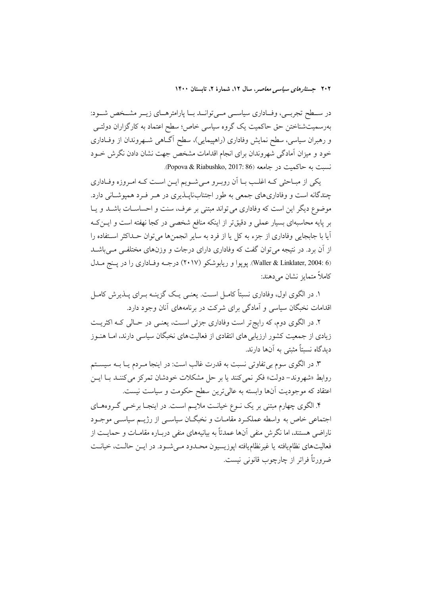در سـطح تجربــي، وفـاداري سياســي مــيتوانــد بــا پارامترهــاي زيــر مشــخص شــود: بەرسمیتشناختن حق حاکمیت یک گروه سیاسی خاص؛ سطح اعتماد به کارگزاران دولتـی و رهبران سیاسی، سطح نمایش وفاداری (راهپیمایی)، سطح آگـاهی شـهروندان از وفـاداری خود و میزان آمادگی شهروندان برای انجام اقدامات مشخص جهت نشان دادن نگرش خــود نسبت به حاكميت در جامعه (Popova & Riabushko, 2017: 86).

یکی از مبـاحثی کـه اغلـب بـا اَن رویـرو مـی شـویم ایـن اسـت کـه امـروزه وفـاداری چندگانه است و وفاداریهای جمعی به طور اجتنابنایــذیری در هــر فــرد همیوشــانی دارد. موضوع دیگر این است که وفاداری می تواند مبتنی بر عرف، سنت و احساسـات باشـد و یـا بر پایه محاسبهای بسیار عملی و دقیقتر از اینکه منافع شخصی در کجا نهفته است و ایــن کــه آیا یا جایجایی وفاداری از جزء به کل یا از فرد به سایر انجمن۱ها می توان حــداکثر اسـتفاده را از اّن برد. در نتیجه می توان گفت که وفاداری دارای درجات و وزنهای مختلفـی مـی باشــد (Waller & Linklater, 2004: 6). یو یوا و ریابوشکو (۲۰۱۷) درجـه وفـاداری را در پـنج مــدل کاملاً متمایز نشان مے دہند:

۱. در الگوی اول، وفاداری نسبتاً کامـل اسـت. یعنـی یـک گزینـه بـرای پــذیرش کامـل اقدامات نخبگان سیاسی و آمادگی برای شرکت در برنامههای آنان وجود دارد.

۲. در الگوی دوم، که رایج تر است وفاداری جزئی است، یعنـی در حـالی کـه اکثریـت زیادی از جمعیت کشور ارزیابی های انتقادی از فعالیت های نخبگان سیاسی دارند، امـا هنــوز ديدگاه نسبتاً مثبتي به آنها دارند.

۳. در الگوی سوم بی تفاوتی نسبت به قدرت غالب است: در اینجا مـردم یــا بــه سیســتم روابط «شهروند- دولت» فكر نمي كنند يا بر حل مشكلات خودشان تمركز مي كننـد بـا ايــن اعتقاد که موجودیت آنها وابسته به عالیترین سطح حکومت و سیاست نیست.

۴. الگوی چهارم مبتنی بر یک نــوع خیانــت ملایــم اســت. در اینجــا برخــی گــروههــای اجتماعي خاص به واسطه عملك د مقامـات و نخبگـان سياسـي از رژيــم سياسـي موجـود ناراضی هستند، اما نگرش منفی آنها عمدتاً به بیانیههای منفی دربـاره مقامــات و حمایــت از فعالیتهای نظامیافته یا غیرنظامیافته ایوزیسیون محـدود مـی شـود. در ایـن حالـت، خیانـت ضرورتاً فراتر از چارچوب قانونی نیست.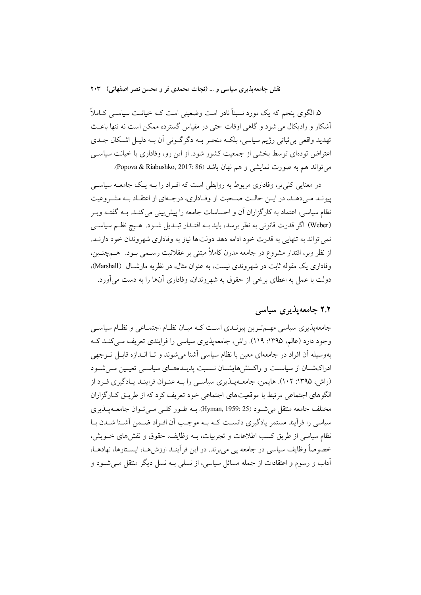۵. الگوی پنجم که یک مورد نسبتاً نادر است وضعیتی است کـه خیانـت سیاســی کــاملاً أشكار و راديكال مي شود و گاهي اوقات حتى در مقياس گسترده ممكن است نه تنها باعـث تهديد واقعي بي ثباتي رژيم سياسي، بلكــه منجــر بــه دگرگــوني آن بــه دليــل اشــكال جــدي اعتراض تودهای توسط بخشی از جمعیت کشور شود. از این رو، وفاداری یا خیانت سیاسی مي تواند هم به صورت نمايشي و هم نهان باشد (Popova & Riabushko, 2017: 86).

در معنایی کلی تر، وفاداری مربوط به روابطی است که افـراد را بــه یــک جامعــه سیاســی پیونـد مـیدهـد، در ایـن حالـت صـحبت از وفـاداري، درجـهاي از اعتقـاد بـه مشـروعيت نظام سیاسی، اعتماد به کارگزاران آن و احساسات جامعه را پیش بینی می کنــد. بــه گفتــه وبــر (Weber) اگر قدرت قانونی به نظر برسد، باید بـه اقتـدار تبـدیل شـود. هـیچ نظـم سیاسـی نمي تواند به تنهايي به قدرت خود ادامه دهد دولت ها نياز به وفاداري شهروندان خود دارنـد. از نظر وبر، اقتدار مشروع در جامعه مدرن کاملاً مبتنی بر عقلانیت رسـمی بــود. هــمچنــین، وفاداري يک مقوله ثابت در شهروندي نيست، به عنوان مثال، در نظريه مارشـال (Marshall). دولت با عمل به اعطای برخی از حقوق به شهروندان، وفاداری آنها را به دست می آورد.

## ۲.۲ جامعه پذیری سیاسی

جامعهپذیری سیاسی مهـمتـرین پیونـدی اسـت کـه میـان نظـام اجتمـاعی و نظـام سیاسـی وجود دارد (عالم، ۱۳۹۵: ۱۱۹). راش، جامعهپذیری سیاسی را فرایندی تعریف مـیکنـد کـه بهوسیله آن افراد در جامعهای معین با نظام سیاسی آشنا می شوند و تـا انــدازه قابـل تــوجهی ادراکشـان از سیاسـت و واکـنش&ایشـان نسـبت پدیـدههـای سیاسـی تعیـین مـیشـود (راش، ۱۳۹۵: ۱۰۲). هایمن، جامعهپذیری سیاسی را بـه عنـوان فراینـد یـادگیری فـرد از الگوهای اجتماعی مرتبط با موقعیتهای اجتماعی خود تعریف کرد که از طریــق کــارگزاران مختلف جامعه منتقل می شود (25 :Hyman, 1959). بـه طـور کلـی مـی تـوان جامعــهپــذیری سیاسی را فرآیند مستمر یادگیری دانست کـه بـه موجـب آن افـراد ضـمن آشـنا شـدن بـا نظام سیاسی از طریق کسب اطلاعات و تجربیات، بــه وظایف، حقوق و نقش های خــویش، خصوصاً وظايف سياسي در جامعه يي مي برند. در اين فر اينــد ارزش هــا، ايســتارها، نهادهــا، اّداب و رسوم و اعتقادات از جمله مسائل سیاسی، از نسلی بــه نسل دیگر منتقل مــی شــود و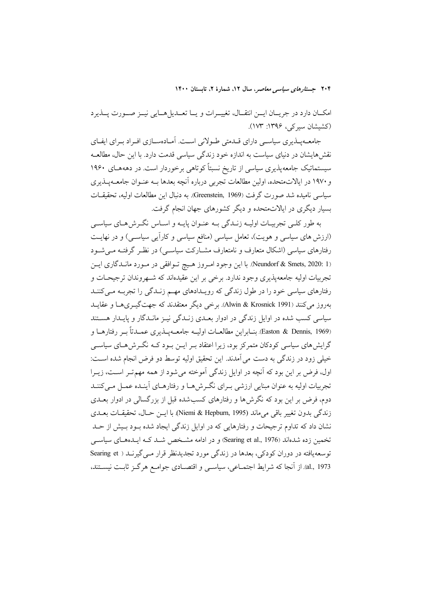امكـان دارد در جريـان ايــن انتقـال، تغييــرات و يــا تعــديلهــايي نيــز صــورت پــذيرد (کشیشان سیر کی، ۱۳۹۶: ۱۷۳).

جامعــهیــذیری سیاســی دارای قــدمتی طــولانی اســت. آمــادهســازی افــراد بــرای ایفــای نقش هایشان در دنیای سیاست به اندازه خود زندگی سیاسی قدمت دارد. با این حال، مطالعــه سیستماتیک جامعهپذیری سیاسی از تاریخ نسبتاً کوتاهی برخوردار است. در دهههـای ۱۹۶۰ و ۱۹۷۰ در ایالاتمتحده، اولین مطالعات تجربی درباره آنچه بعدها بـه عنـوان جامعــهیــذیری سياسي ناميده شد صورت گرفت (Greenstein, 1969). به دنبال اين مطالعات اوليه، تحقيقــات بسیار دیگری در ایالاتمتحده و دیگر کشورهای جهان انجام گرفت.

به طور کلبی تجربیـات اولیــه زنــدگی بــه عنــوان پایــه و اســاس نگــرش۵هـای سیاســی (ارزش های سیاسی و هویت)، تعامل سیاسی (منافع سیاسی و کارآیی سیاسـی) و در نهایـت رفتارهای سیاسی (اشکال متعارف و نامتعارف مشــارکت سیاســی) در نظـر گرفتــه مــی شــود (Neundorf & Smets, 2020: 1). با این وجود امروز هیچ توافقی در مورد ماندگاری این تجربیات اولیه جامعهپذیری وجود ندارد. برخی بر این عقیدهاند که شـهروندان ترجیحـات و رفتارهای سیاسی خود را در طول زندگی که روپدادهای مهیم زنیدگی را تجربیه می کننید بهروز می کنند (Alwin & Krosnick 1991). برخی دیگر معتقدند که جهت گیــریهــا و عقایــد سیاسی کسب شده در اوایل زندگی در ادوار بعـدی زنـدگی نیــز مانــدگار و پایــدار هســتند (Easton & Dennis, 1969). بنــابراين مطالعــات اوليــه جامعــهپــذيري عمــدتاً بــر رفتارهــا و گرایش های سیاسی کودکان متمرکز بود، زیرا اعتقاد بـر ایــن بــود کــه نگــرش هــای سیاســی خیلی زود در زندگی به دست می آمدند. این تحقیق اولیه توسط دو فرض انجام شده اســت: اول، فرض بر این بود که آنچه در اوایل زندگی آموخته می شود از همه مهم تـر اسـت، زیـرا تجربیات اولیه به عنوان مبنایی ارزشی بـرای نگـرش۵هـا و رفتارهـای آینـده عمـل مـیکننـد دوم، فرض بر این بود که نگرش ها و رفتارهای کسب شده قبل از بزرگسالی در ادوار بعــدی زندگي بدون تغيير باقي مي ماند (Niemi & Hepburn, 1995). با ايــن حــال، تحقيقــات بعــدي نشان داد که تداوم ترجیحات و رفتارهایی که در اوایل زندگی ایجاد شده بود بـیش از حـد .<br>تخمین زده شدهاند (Searing et al., 1976) و در ادامه مشـخص شـد کــه ایــدههــای سیاســی توسعه یافته در دوران کودکی، بعدها در زندگی مورد تجدیدنظر قرار مـی گیرنــد ( Searing et al., 1973). از اّنجا که شرایط اجتمــاعی، سیاســی و اقتصــادی جوامــع هرگــز ثابــت نیســتند،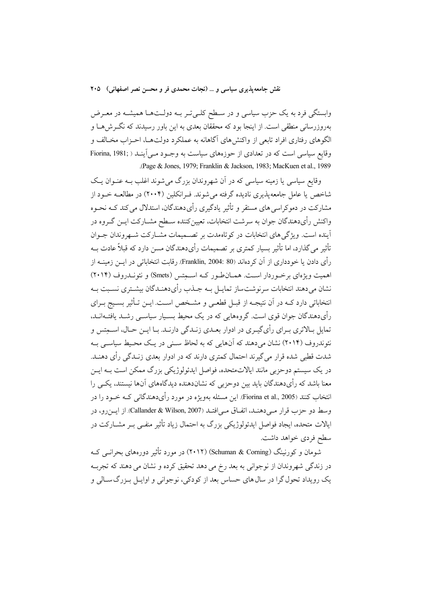وابستگی فرد به یک حزب سیاسی و در سـطح کلـیتـر بــه دولــتـهــا همیشــه در معــرض بهروزرسانی منطقی است. از اینجا بود که محققان بعدی به این باور رسیدند که نگـرش۵حـا و الگوهای رفتاری افراد تابعی از واکنش های آگاهانه به عملکرد دولتها، احـزاب مخـالف و وقایع سیاسی است که در تعدادی از حوزههای سیاست به وجـود مـی اَینـد ( Fiorina, 1981; .(Page & Jones, 1979; Franklin & Jackson, 1983; MacKuen et al., 1989).

وقایع سیاسی یا زمینه سیاسی که در آن شهروندان بزرگ می شوند اغلب بــه عنــوان یــک شاخص یا عامل جامعهپذیری نادیده گرفته می شوند. فـرانکلین (۲۰۰۴) در مطالعــه خــود از .<br>مشارکت در دموکراسی های مستقر و تأثیر یادگیری رأیدهندگان، استدلال می کند کــه نحــوه واکنش رأىدهندگان جوان به سرشت انتخابات، تعيينکننده سـطح مشـارکت ايــن گــروه در .<br>آینده است. ویژگی های انتخابات در کوتاهمدت بر تصـمیمات مشــارکت شــهروندان جــوان تأثیر می گذارد، اما تأثیر بسیار کمتری بر تصمیمات رأیدهندگان مسن دارد که قبلاً عادت بــه رأى دادن يا خو ددارى از آن كردهاند (Franklin, 2004: 80). رقابت انتخاباتي در ايــز زمينــه از اهمیت ویژهای برخوردار است. همـانطـور کـه اسـمتس (Smets) و نئونـدروف (۲۰۱۴) نشان می دهند انتخابات سرنوشت ساز تمایـل بـه جـذب رأىدهنـدگان بیشـترى نسـبت بـه انتخاباتی دارد کـه در آن نتیجـه از قبـل قطعـی و مشـخص اسـت. ایــن تــأثیر بسـیج بــرای رأی دهندگان جوان قوی است. گروههایی که در یک محیط بسـیار سیاسـی رشـد یافتــهانـد، تمایل بـالاتری بـرای رأی&بـری در ادوار بعـدی زنـدگی دارنـد. بـا ایـن حـال، اســمتس و نئوندروف (۲۰۱۴) نشان میدهند که آنهایی که به لحاظ سنبی در یک محیط سیاسبی بـه شدت قطبی شده قرار می گیرند احتمال کمتری دارند که در ادوار بعدی زنـدگی رأی دهنـد. در یک سیستم دوحزبی مانند ایالاتمتحده، فواصل ایدئولوژیکی بزرگ ممکن است بــه ایــن معنا باشد که رأىدهندگان بايد بين دوحزبي که نشاندهنده ديدگاههاي آنها نيستند، يکي را انتخاب کنند (Fiorina et al., 2005). این مسئله بهویژه در مورد رأیدهندگانی کـه خــود را در وسط دو حزب قرار مـىدهنـد، اتفـاق مـىافتـد (Callander & Wilson, 2007). از ايــزرو، در ایالات متحده، ایجاد فواصل ایدئولوژیکی بزرگ به احتمال زیاد تأثیر منفـی بـر مشــارکت در سطح فردي خواهد داشت.

شومان و کورنینگ (Schuman & Corning) (۲۰۱۲) در مورد تأثیر دورههای بحرانــی کــه در زندگی شهروندان از نوجوانی به بعد رخ می دهد تحقیق کرده و نشان می دهند که تجربــه یک رویداد تحول گرا در سال های حساس بعد از کودکی، نوجوانی و اوایـل بـزرگ سـالی و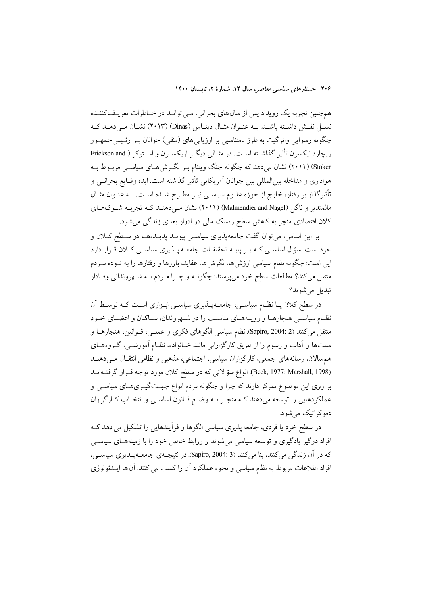همچنین تجربه یک رویداد پس از سال های بحرانی، مـی توانــد در خــاطرات تعریـف کننــده نسـل نقـش داشـته باشـد. بـه عنـوان مثـال دينـاس (Dinas) (٢٠١٣) نشـان مـى دهـد كـه چگونه رسوایی واترگیت به طرز نامتناسبی بر ارزیابیهای (منفی) جوانان بـر رئـیس-جمهـور ریچارد نیکسون تأثیر گذاشــته اســت. در مثــالی دیگــر اریکســون و اســتوکر ( Erickson and Stoker) (۲۰۱۱) نشان میدهد که چگونه جنگ ویتنام بـر نگـرش۵حـای سیاســی مربــوط بــه هواداری و مداخله بین|لمللی بین جوانان آمریکایی تأثیر گذاشته است. ایده وقـایع بحرانــی و تأثیرگذار بر رفتار، خارج از حوزه علــوم سیاســی نیــز مطــرح شــده اســت. بــه عنــوان مثــال مالمندیر و ناگل (Malmendier and Nagel) (۲۰۱۱) نشان مـیcهنـد کـه تجربـه شـوکهـای کلان اقتصادی منجر به کاهش سطح ریسک مالی در ادوار بعدی زندگی می شود.

بر این اساس، می توان گفت جامعهپذیری سیاســی پیونــد پدیــدهــا در ســطح کــلان و خرد است. سؤال اساسـی کـه بـر پایـه تحقیقـات جامعـه پــذیری سیاسـی کــلان قــرار دارد این است: چگونه نظام سیاسی ارزش ها، نگرش ها، عقاید، باورها و رفتارها را به تــوده مــردم منتقل میکند؟ مطالعات سطح خرد میپرسند: چگونــه و چــرا مــردم بــه شــهروندانی وفــادار تبديل مي شوند؟

در سطح کلان یــا نظــام سیاســی، جامعــهپــذیری سیاســی ابــزاری اســت کــه توســط اَن نظـام سیاسـی هنجارهـا و رویـههـای مناسـب را در شـهروندان، سـاکنان و اعضـای خـود متقل میکنند (Sapiro, 2004: 2). نظام سیاسی الگوهای فکری و عملـی، قــوانین، هنجارهــا و سنتها و آداب و رسوم را از طریق کارگزارانی مانند خـانواده، نظـام آموزشـی، گـروههـای هم سالان، رسانههاي جمعي، كارگزاران سياسي، اجتماعي، مذهبي و نظامي انتقـال مـي دهنـد (Beck, 1977; Marshall, 1998). انواع سؤالاتی که در سطح کلان مورد توجه قـرار گرفتـهانــد بر روی این موضوع تمرکز دارند که چرا و چگونه مردم انواع جهتگیـریهـای سیاســی و عملکردهایی را توسعه میدهند کـه منجـر بـه وضـع قـانون اساسـی و انتخـاب کـارگزاران دموکراتیک می شود.

در سطح خرد یا فردی، جامعه پذیری سیاسی الگوها و فرأیندهایی را تشکیل می دهد ک افراد درگیر یادگیری و توسعه سیاسی می شوند و روابط خاص خود را با زمینههـای سیاســی كه در آن زندگي مي كنند، بنا مي كنند (Sapiro, 2004: 3). در نتيجـهي جامعـهپـذيري سياســي، افراد اطلاعات مربوط به نظام سیاسی و نحوه عملکرد آن را کسب می کنند. آن ها ایــدئولوژی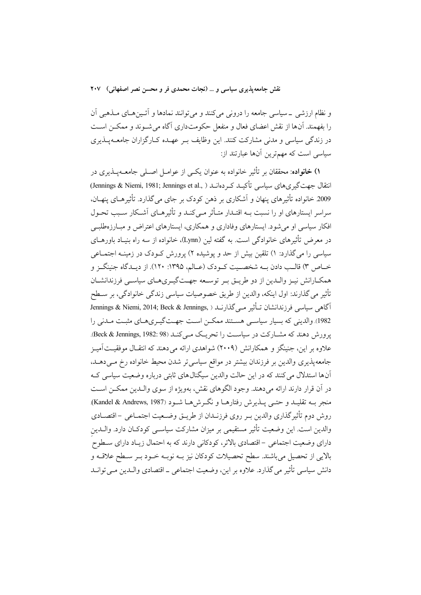و نظام ارزشی \_سیاسی جامعه را درونی میکنند و میتوانند نمادها و آئـینِهـای مــذهبی آن را بفهمند. آنها از نقش اعضای فعال و منفعل حکومتداری آگاه می شـوند و ممکــن اســت در زندگی سیاسی و مدنی مشارکت کنند. این وظایف بـر عهـده کـارگزاران جامعــهپــذیری سیاسی است که مهمترین آنها عبارتند از:

**۱) خانواده**: محققان بر تأثیر خانواده به عنوان یک<sub>سی</sub> از عوامــل اصــلی جامعــهیــذیری در انتقال جهت گيري هاي سياسي تأكيـد كـر دهانـد ( ,Jennings & Niemi, 1981; Jennings et al., 2009 خانواده تأثیرهای پنهان و آشکاری بر ذهن کودک بر جای می گذارد. تأثیرهـای پنهـان، سراسر ایستارهای او را نسبت بـه اقتـدار متـأثر مـی کنـد و تأثیرهـای آشـکار سـبب تحـول افکار سیاسی او می شود. ایستارهای وفاداری و همکاری، ایستارهای اعتراض و مبـارزهطلبـی در معرض تأثیرهای خانوادگی است. به گفته لین (Lynn)، خانواده از سه راه بنیـاد باورهــای سیاسی را می گذارد: ۱) تلقین بیش از حد و یوشیده ۲) پرورش کــودک در زمینــه اجتمــاعی خــاص ٣) قالــب دادن بــه شخصــيت كــودك (عــالم، ١٣٩۵: ١٢٠). از ديــدگاه جنينگــز و همکـارانش نیـز والـدین از دو طریـق بـر توسـعه جهـتگیـری۵حـای سیاسـی فرزندانشـان تأثير مي گذارند: اول اينكه، والدين از طريق خصوصيات سياسي زندگي خانوادگي، بر سـطح آگاهی سیاسی فرزندانشان تـأثبر مـی گذارنـد ( Jennings & Niemi, 2014; Beck & Jennings, 1982). والدینی که بسیار سیاسے مستند ممکن است جهت گیے ی هے مثبت مـدنی را پرورش دهند که مشـارکت در سیاسـت را تحریـک مـیکنـد (Beck & Jennings, 1982: 98). علاوه بر این، جنینگز و همکارانش (۲۰۰۹) شواهدی ارائه می دهند که انتقـال موفقیـتآمیـز جامعهپذیری والدین بر فرزندان بیشتر در مواقع سیاسی تر شدن محیط خانواده رخ مـیدهــد، آنها استدلال می کنند که در این حالت والدین سیگنال های ثابتی درباره وضعیت سیاسی ک در آن قرار دارند ارائه میدهند. وجود الگوهای نقش، بهویژه از سوی والـدین ممکـن اسـت منجر بــه تقليــد و حتــي يــذيرش رفتارهــا و نگــرش١هــا شــود (Kandel & Andrews, 1987). روش دوم تأثير گذاري والدين بـر روي فرزنـدان از طريــق وضــعيت اجتمــاعي –اقتصــادي والدین است. این وضعیت تأثیر مستقیمی بر میزان مشارکت سیاســی کودکــان دارد. والــدین دارای وضعیت اجتماعی – اقتصادی بالاتر، کودکانی دارند که به احتمال زیـاد دارای ســطوح ً بالايي از تحصيل مي باشند. سطح تحصيلات كودكان نيز بـه نوبـه خـود بـر سـطح علاقـه و دانش سیاسی تأثیر می گذارد. علاوه بر این، وضعیت اجتماعی \_ اقتصادی والـدین مـی توانــد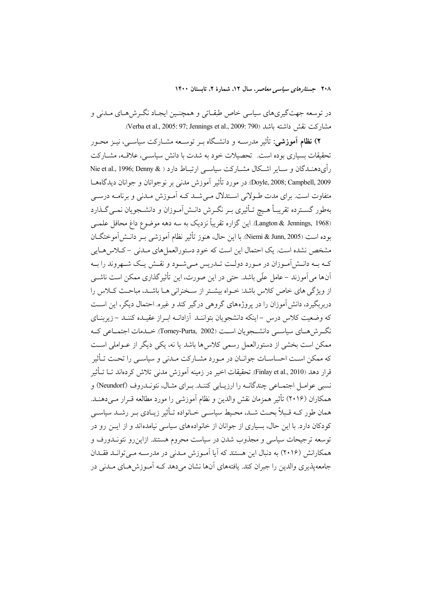در توسعه جهتگیریهای سیاسی خاص طبقـاتی و همچنـین ایجـاد نگـرش۵هـای مـدنی و مشاركت نقش داشته باشد (Verba et al., 2005: 97; Jennings et al., 2009: 790).

۲) **نظام آموزشی**: تأثیر مدرســه و دانشـگاه بــر توســعه مشــارکت سیاســی، نیــز محــور تحقیقات بسیاری بوده است. تحصیلات خود به شدت با دانش سیاسبی، علاقــه، مشــارکت رأىدهنـدگان و سـاير اشـكال مشـاركت سياسـي ارتبـاط دارد ( & Nie et al., 1996; Denny Doyle, 2008; Campbell, 2009. در مورد تأثير آموزش مدني بر نوجوانان و جوانان ديدگاههـا متفاوت است. برای مدت طـولانی اسـتدلال مـی شـد کـه آمـوزش مـدنی و برنامـه درسـی بهطور گســترده تقريبـاً هــيچ تــأثيري بــر نگــرش دانــشlمــوزان و دانشــجويان نمــي گــذارد (Langton & Jennings, 1968). این گزاره تقریباً نزدیک به سه دهه موضوع داغ محافل علمــی بوده است (Niemi & Junn, 2005). با اين حال، هنوز تأثير نظام آموزشي بـر دانــش[موختگــان مشخص نشده است. یک احتمال این است که خود دستورالعمل های مـدنی – کـلاس هـایی کـه بـه دانـش|مـوزان در مـورد دولـت تـدريس مـیشـود و نقـش يـک شـهروند را بـه آنها می آموزند –عامل علّی باشد. حتی در این صورت، این تأثیر گذاری ممکن است ناشبی از ویژگی های خاص کلاس باشد: خـواه بیشـتر از سـخنرانی هـا باشـد، مباحـث کــلاس را دربربگیرد، دانش آموزان را در پروژههای گروهی درگیر کند و غیره. احتمال دیگر، این است که وضعیت کلاس درس –اینکه دانشجویان بتواننـد آزادانـه ابـراز عقیـده کننـد –زیربنـای .<br>نگــرش هــاي سياســي دانشــجو يان اســت (Torney-Purta, 2002). خــدمات اجتمــاعي كــه ممکن است بخشی از دستورالعمل رسمی کلاس ها باشد یا نه، یکی دیگر از عــواملی اســت که ممکن اسـت احساسـات جوانـان در مـورد مشـارکت مـدنى و سياسـي را تحـت تـأثير قرار دهد (Finlay et al., 2010). تحقیقات اخیر در زمینه آموزش مدنی تلاش کردهاند تــا تــأثیر نسبي عوامـل اجتمــاعي چندگانــه را ارزيــابي كننــد. بــراي مثــال، نئونــدروف (Neundorf) و همكاران (٢٠١۶) تأثير همزمان نقش والدين و نظام آموزشي را مورد مطالعه قـرار مـي دهنـد. همان طور کــه قـبلاً بحــث شــد، محـيط سياســي خــانواده تــأثير زيــادي بــر رشــد سياســي کودکان دارد. با این حال، بسیاری از جوانان از خانوادههای سیاسی نیامدهاند و از ایــن رو در .<br>توسعه ترجیحات سیاسی و مجذوب شدن در سیاست محروم هستند. ازاین رو نئونــدورف و همکارانش (۲۰۱۶) به دنبال این هستند که آیا آمـوزش مـدنی در مدرسـه مـی توانـد فقـدان جامعه پذیری والدین را جبران کند. یافتههای آنها نشان می دهد کـه اَمـوزش هـای مـدنـی در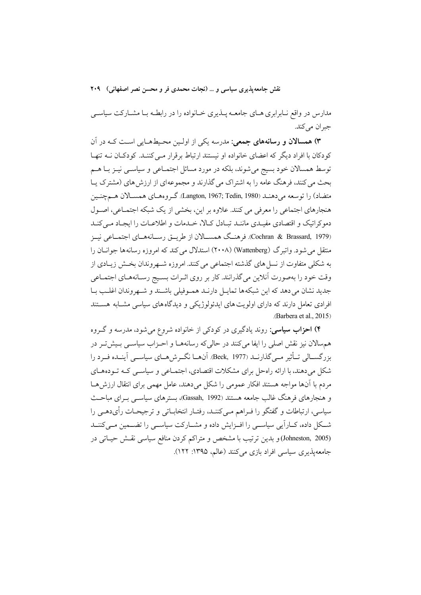مدارس در واقع نـابرابري هـاي جامعـه پــذيري خــانواده را در رابطـه بـا مشــاركت سياســي جبران مي كند.

۳) همسالان و رسانههای جمعی: مدرسه یکی از اولـین محـیطهـایی اسـت کـه در آن کودکان با افراد دیگر که اعضای خانواده او نیستند ارتباط برقرار مـی کننـد. کودکـان نــه تنهـا توسط همسالان خود بسیج می شوند، بلکه در مورد مسائل اجتمـاعی و سیاســی نیــز بــا هــم بحث می کنند، فرهنگ عامه را به اشتراک می گذارند و مجموعهای از ارزش های (مشترک پـا متضاد) را توسعه مي دهنـد (Langton, 1967; Tedin, 1980). گـروههـاي همســالان هــمچنـين هنجارهای اجتماعی را معرفی می کنند. علاوه بر این، بخشی از یک شبکه اجتمـاعی، اصـول دموکراتیک و اقتصادی مفیـدی ماننـد تبـادل کـالا، خـدمات و اطلاعـات را ایجـاد مـی کنـد (Cochran & Brassard, 1979). فرهنگ همســالان از طريــق رســانههــاي اجتمــاعي نيــز منتقل می شود. واتبرگ (Wattenberg) (۲۰۰۸) استدلال می کند که امروزه رسانهها جوانــان را به شکلی متفاوت از نسل های گذشته اجتماعی می کنند. امروزه شــهروندان بخــش زیــادی از وقت خود را بهصورت آنلاین میگذرانند. کار بر روی اثـرات بسـیج رسـانههـای اجتمـاعی جدید نشان می دهد که این شبکهها تمایــل دارنــد همــوفیلی باشــند و شــهروندان اغلــب بــا افرادی تعامل دارند که دارای اولویت های ایدئولوژیکی و دیدگاه های سیاسی مشـابه هسـتند (Barbera et al. 2015)

۴) احزاب سیاسی: روند یادگیری در کودکی از خانواده شروع می شود، مدرسه و گـروه هم سالان نیز نقش اصلی را ایفا می کنند در حالی که رسانههـا و احـزاب سیاســی بـیش تـر در بزرگســالی تــأثیر مــی گذارنــد (Beck, 1977). آنهــا نگــرش۵هــای سیاســی آینــده فــرد را شکل می دهند، با ارائه راهحل برای مشکلات اقتصادی، اجتمـاعی و سیاســی کــه تــودههــای مردم با آنها مواجه هستند افكار عمومي را شكل مي دهند، عامل مهمي براي انتقال ارزش هــا و هنجارهای فرهنگ غالب جامعه هستند (Gassah, 1992)، بسترهای سیاسبی بـرای مباحـث سیاسی، ارتباطات و گفتگو را فـراهم مـی کننـد، رفتـار انتخابــاتی و ترجیحــات رأیدهــی را شکل داده، کــاراًیی سیاســی را افــزایش داده و مشــارکت سیاســی را تضــمین مــیکننــد (Johneston, 2005) وبدين ترتيب با مشخص و متراكم كردن منافع سياسي نقش حياتي در جامعه پذیری سیاسی افراد بازی می کنند (عالم، ۱۳۹۵: ۱۲۲).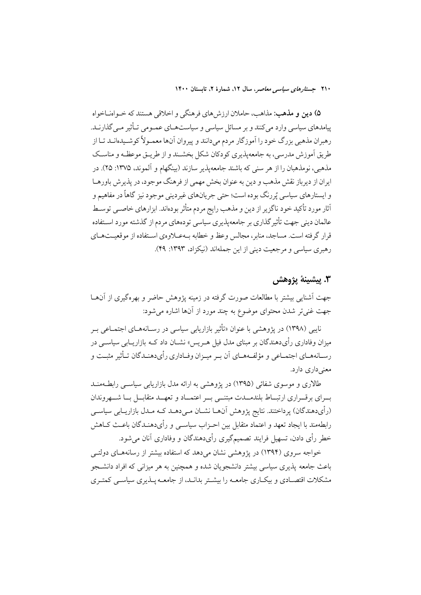۵) دين و مذهب: مذاهب، حاملان ارزش هاي فرهنگي و اخلاقي هستند كه خـواهنــاخواه پیامدهای سیاسی وارد می کنند و بر مسائل سیاسی و سیاستهـای عمـومی تـأثیر مـی گذارنــد. رهبران مذهبی بزرگ خود را آموزگار مردم می دانند و پیروان آنها معمـولاً کوشـیدهانـد تـا از طریق آموزش مدرسی، به جامعهپذیری کودکان شکل بخشـند و از طریـق موعظـه و مناسـک مذهبي، نومذهبان را از هر سني كه باشند جامعهپذير سازند (بينگهام و آلموند، ١٣٧۵: ٢۵). در ایران از دیرباز نقش مذهب و دین به عنوان بخش مهمی از فرهنگ موجود، در پذیرش باورهـا و ايستارهاي سياسي پُررنگ بو ده است؛ حتى جريانهاي غير ديني موجود نيز گاهاً در مفاهيم و أثار مورد تأكيد خود ناگزير از دين و مذهب رايج مردم متأثر بودهاند. ابزارهاي خاصــي توســط عالمان دینی جهت تأثیر گذاری بر جامعهپذیری سیاسی تودههای مردم از گذشته مورد اسـتفاده قرار گرفته است. مساجد، منابر ، مجالس وعظ و خطابه به عــلاوهي اســتفاده از موقعيــتهــاي رهبری سیاسی و مرجعیت دینی از این جملهاند (نیکزاد، ۱۳۹۳: ۴۹).

### 3. يشينة يژوهش

جهت اَشنایی بیشتر با مطالعات صورت گرفته در زمینه پژوهش حاضر و بهرهگیری از اَنهــا جهت غنی تر شدن محتوای موضوع به چند مورد از آنها اشاره می شود:

نايبي (١٣٩٨) در يژوهشي با عنوان «تأثير بازاريابي سياسي در رســانههــاي اجتمــاعي بــر میزان وفاداری رأیدهندگان بر مبنای مدل فیل هـریس» نشــان داد کــه بازاریــابی سیاســی در رسـانههـاي اجتمـاعي و مؤلفـههـاي أن بـر ميـزان وفـاداري رأيدهنـدگان تـأثير مثبـت و معنی داری دارد.

طالاری و موسوی شفائی (۱۳۹۵) در یژوهشی به ارائه مدل بازاریابی سیاسبی رابطهمنـد بسرای بر قسراری ارتبساط بلندمسدت مبتنسی بسر اعتمساد و تعهسد متقابسل بسا شسهر وندان (رأىدهندگان) پرداختند. نتايج پژوهش آنهـا نشــان مــىدهــد كــه مــدل بازاريــابي سياســي رابطهمند با ايجاد تعهد و اعتماد متقابل بين احـزاب سياســي و رأىدهنــدگان باعـث كــاهش خطر رأى دادن، تسهيل فرايند تصميم گيري رأىدهندگان و وفاداري آنان مى شود.

خواجه سروی (۱۳۹۴) در پژوهشی نشان می دهد که استفاده بیشتر از رسانههـای دولتـی باعث جامعه پذیری سیاسی بیشتر دانشجویان شده و همچنین به هر میزانی که افراد دانشــجو مشکلات اقتصـادی و بیکـاری جامعـه را بیشـتر بدانـد، از جامعـه پــذیری سیاسـی کمتـری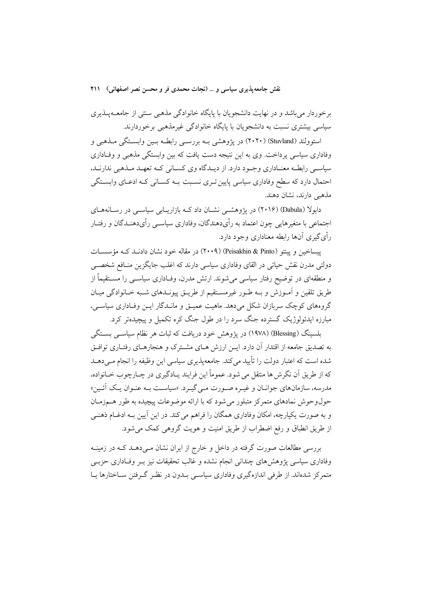برخوردار می باشد و در نهایت دانشجویان با پایگاه خانوادگی مذهبی سنتی از جامعــهپــذیری سیاسی بیشتری نسبت به دانشجویان با پایگاه خانوادگی غیرمذهبی برخوردارند.

استوولند (Stuvland) (۲۰۲۰) در یژوهشی بـه بررسـی رابطـه بـین وابسـتگی مـذهبی و وفاداری سیاسی پرداخت. وی به این نتیجه دست یافت که بین وابستگی مذهبی و وفـاداری سیاســي رابطــه معنــاداري وجــود دارد. از ديــدگاه وي كســاني كــه تعهــد مــذهبي ندارنــد، احتمال دارد که سطح وفاداری سیاسی پایین تـری نسـبت بــه کســانی کــه ادعــای وابســتگی مذهبي دارند، نشان دهند.

دابولا (Dabula) (۲۰۱۶) در یژوهشمی نشـان داد کـه بازاریـابی سیاســی در رسـانههـای اجتماعی با متغیرهایی چون اعتماد به رأیدهندگان، وفاداری سیاســی رأیدهنــدگان و رفتــار ٫ أي گيري آنها رابطه معناداري وجود دارد.

بسیاخین و پیتو (Peisakhin & Pinto) (۲۰۰۹) در مقاله خود نشان دادنید کیه مؤسسیات دولتي مدرن نقش حياتي در القاي وفاداري سياسي دارند كه اغلب جايگزين منــافع شخصــي و منطقهای در توضیح رفتار سیاسی می شوند. ارتش مدرن، وفـاداری سیاســی را مســتقیماً از طریق تلقین و آمـوزش و بـه طـور غیرمسـتقیم از طریــق پیونــدهای شـبه خــانوادگی میــان گروههای کوچک سربازان شکل می دهد. ماهیت عمیــق و مانــدگار ایــن وفــاداری سیاســی، مبارزه ایدئولوژیک گسترده جنگ سرد را در طول جنگ کره تکمیل و پیچیدهتر کرد.

بلسینگ (Blessing) (۱۹۷۸) در یژوهش خود دریافت که ثبات هر نظام سیاسـی بسـتگی به تصدیق جامعه از اقتدار آن دارد. ایــن ارزش هــای مشــترک و هنجارهــای رفتــاری توافــق شده است که اعتبار دولت را تأیید می کند. جامعهپذیری سیاسی این وظیفه را انجام مـی(هـد که از طريق اّن نگرش ها منتقل مي شود. عموماً اين فرايند پــادگيري در چــارچوب خــانواده، مدرسه، سازمانهای جوانـان و غیـره صـورت مـی گیـرد. «سیاسـت بـه عنـوان یـک آئـین» حول وحوش نمادهای متمرکز متبلور می شود که با ارائه موضوعات پیچیده به طور هـمزمـان و به صورت یکپارچه، امکان وفاداری همگان را فراهم می کند. در این آیین بـه ادغـام ذهنـی از طریق انطباق و رفع اضطراب از طریق امنیت و هویت گروهی کمک می شود.

بررسی مطالعات صورت گرفته در داخل و خارج از ایران نشان مـیدهــد کــه در زمینــه وفاداری سیاسی پژوهش های چندانی انجام نشده و غالب تحقیقات نیز بـر وفـاداری حزبـی متمرکز شدهاند. از طرفی اندازهگیری وفاداری سیاسی بـدون در نظـر گـرفتن سـاختارها پـا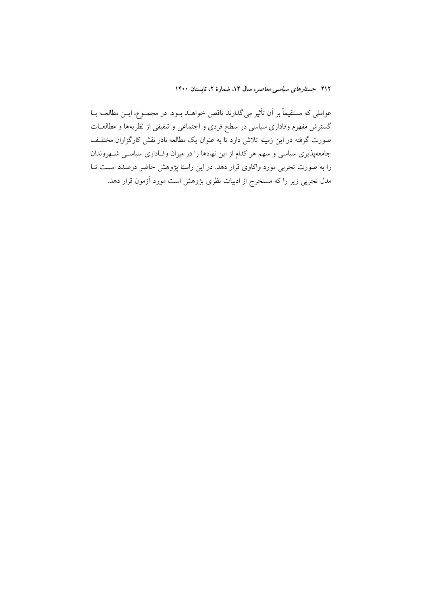عواملی که مستقیماً بر اَن تأثیر می گذارند ناقص خواهــد بــود. در مجمــوع، ایــن مطالعــه بــا گسترش مفهوم وفاداری سیاسی در سطح فردی و اجتماعی و تلفیقی از نظریهها و مطالعــات صورت گرفته در این زمینه تلاش دارد تا به عنوان یک مطالعه نادر نقش کارگزاران مختلـف جامعهپذیری سیاسی و سهم هر کدام از این نهادها را در میزان وفـاداری سیاســی شــهروندان را به صورت تجربی مورد واکاوی قرار دهد. در این راستا پژوهش حاضر درصدد است تــا مدل تجربی زیر را که مستخرج از ادبیات نظری پژوهش است مورد آزمون قرار دهد.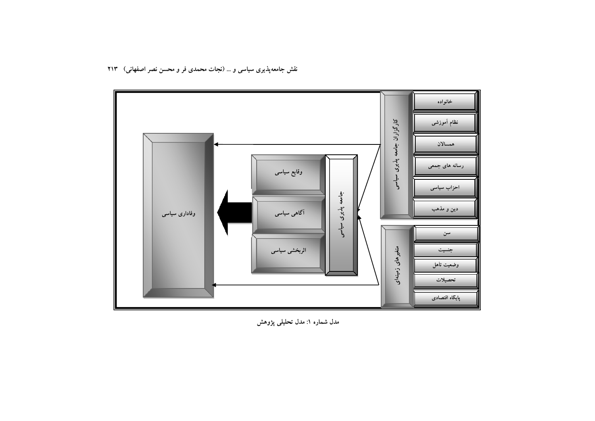

مدل شماره ۱: مدل تحلیلی پژوهش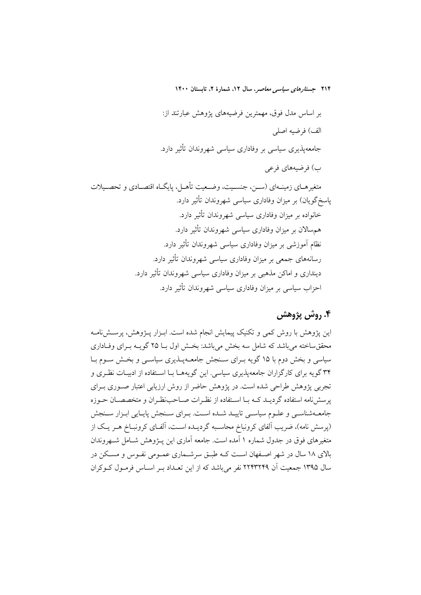بر اساس مدل فوق، مهمترین فرضیههای یژوهش عبارتند از: الف) فرضيه اصلى جامعهپذیری سیاسی بر وفاداری سیاسی شهروندان تأثیر دارد. ب) فرضيههاي فرعي متغیرهــای زمینــهای (ســز، جنســیت، وضــعیت تأهــل، پایگــاه اقتصــادی و تحصــیلات پاسخگویان) بر میزان وفاداری سیاسی شهروندان تأثیر دارد. خانواده بر میزان وفاداری سیاسی شهروندان تأثیر دارد. همهسالان بر میزان وفاداری سیاسی شهروندان تأثیر دارد. نظام اَموزشی بر میزان وفاداری سیاسی شهروندان تأثیر دارد. رسانههای جمعی بر میزان وفاداری سیاسی شهروندان تأثیر دارد. دینداری و اماکن مذهبی بر میزان وفاداری سیاسی شهروندان تأثیر دارد. احزاب سیاسی بر میزان وفاداری سیاسی شهروندان تأثیر دارد.

# ۴. روش پژوهش

این یژوهش با روش کمی و تکنیک پیمایش انجام شده است. ابـزار پـژوهش، پرســشiمامـه محققساخته می باشد که شامل سه بخش می باشد: بخـش اول بـا ۲۵ گویــه بــرای وفــاداری سیاسی و بخش دوم با ۱۵ گویه بـرای سـنجش جامعـهیـذیری سیاسـی و بخـش سـوم بـا ۳۴ گویه برای کارگزاران جامعهپذیری سیاسی. این گویههـا بـا اسـتفاده از ادبیـات نظـری و تجربی پژوهش طراحی شده است. در پژوهش حاضر از روش ارزیابی اعتبار صبوری بیرای پرسشنامه استفاده گردیـد کـه بـا اسـتفاده از نظـرات صـاحبنظـران و متخصصـان حـوزه جامعیهشناسبی و علیوم سیاسبی تابیید شیده است. پیرای سینجش پاسایی اییزار سینجش (پرسش نامه)، ضریب الفای کرونباخ محاسبه گردیـده اسـت، الفـای کرونبـاخ هـر یـک از متغیرهای فوق در جدول شماره ۱ آمده است. جامعه آماری این پــژوهش شــامل شــهروندان بالای ۱۸ سال در شهر اصـفهان اسـت کـه طبـق سرشـماری عمـومی نفـوس و مسـکن در سال ۱۳۹۵ جمعیت اَن ۲۲۴۳۲۴۹ نفر می باشد که از این تعــداد بــر اســاس فرمــول کــوکران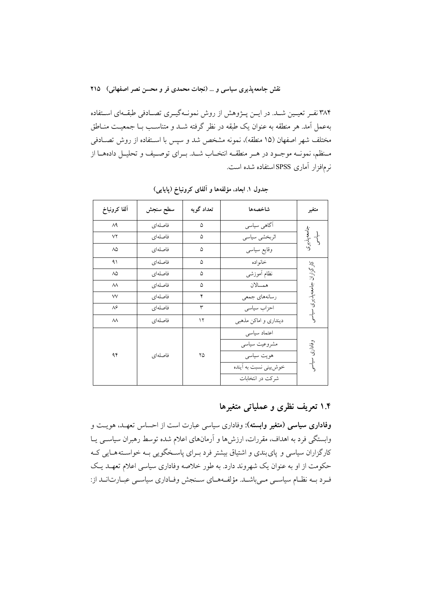۳۸۴ نفـر تعیـین شـد. در ایــن پــژوهش از روش نمونــهگیــری تصــادفی طبقــهای اســتفاده بهعمل آمد. هر منطقه به عنوان یک طبقه در نظر گرفته شــد و متناسـب بــا جمعیــت منــاطق مختلف شهر اصفهان (۱۵ منطقه)، نمونه مشخص شد و سپس با اسـتفاده از روش تصـادفی مـنظم، نمونــه موجــود در هــر منطقــه انتخــاب شــد. بــراي توصــيف و تحليــل دادههــا از نر مافزار آماری SPSS استفاده شده است.

| ألفا كرونباخ     | سطح سنجش | تعداد گويه | شاخصهها                | متغير                       |
|------------------|----------|------------|------------------------|-----------------------------|
| ۸۹               | فاصلهاى  | ۵          | آگاهي سياسي            |                             |
| $\vee\!\Upsilon$ | فاصلهاى  | ۵          | اثربخشي سياسي          | لجامعەپذیری<br>سیاسى        |
| $\wedge \wedge$  | فاصلهاى  | ۵          | وقايع سياسى            |                             |
| ۹۱               | فاصلهاى  | ۵          | خانواده                |                             |
| ٨۵               | فاصلهاى  | ۵          | نظام أموزشى            |                             |
| $\lambda\lambda$ | فاصلهاى  | ۵          | همسالان                |                             |
| $\vee\vee$       | فاصلهاى  | ۴          | رسانەهاي جمعي          |                             |
| $\Lambda$ ۶      | فاصلهاى  | ٣          | احزاب سياسى            | کارگزاران جامعه پذیری سیاسی |
| $\lambda\lambda$ | فاصلهاى  | ۱۲         | دینداری و اماکن مذهبی  |                             |
|                  |          |            | اعتماد سياسى           |                             |
|                  |          |            | مشروعيت سياسي          |                             |
| ۹۴               | فاصلهاي  | ۲۵         | ہویت سیاسی             | وفاداری سیاسر               |
|                  |          |            | خوش بینی نسبت به آینده |                             |
|                  |          |            | شركت در انتخابات       |                             |

جدول ١. ابعاد، مؤلفهها و آلفای کرونباخ (پایایی)

## ۱.۴ تعریف نظری و عملیاتی متغیرها

وفاداری سیاسی (متغیر وابسته): وفاداری سیاسی عبارت است از احساس تعهـد، هویـت و وابستگی فرد به اهداف، مقررات، ارزش ها و آرمانهای اعلام شده توسط رهبران سیاسـی یــا کارگزاران سیاسی و پای بندی و اشتیاق بیشتر فرد بـرای پاسـخگویی بـه خواسـتههـایی کـه حکومت از او به عنوان یک شهروند دارد. به طور خلاصه وفاداری سیاسی اعلام تعهـد یـک فرد بـه نظـام سیاسـی مـیباشـد. مؤلفـههـای سـنجش وفـاداری سیاسـی عبـارت|نـد از: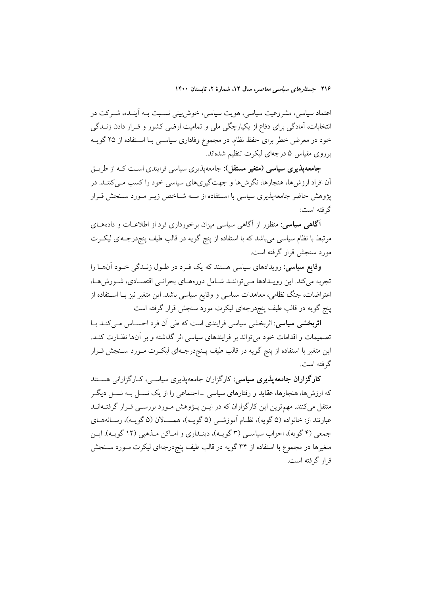اعتماد سیاسی، مشروعیت سیاسی، هویت سیاسی، خوش بینی نسـبت بـه آینـده، شـرکت در انتخابات، آمادگی برای دفاع از یکپارچگی ملی و تمامیت ارضی کشور و قـرار دادن زنــدگی خود در معرض خطر برای حفظ نظام. در مجموع وفاداری سیاسـی بـا اسـتفاده از ۲۵ گویــه برروی مقیاس ۵ درجهای لیکرت تنظیم شدهاند.

**جامعه پذیری سیاسی (متغیر مستقل):** جامعه پذیری سیاسی فرایندی اسـت کــه از طریــق اّن افراد ارزش ها، هنجارها، نگرش ها و جهت گیری های سیاسی خود را کسب مـی کننــد. در یژوهش حاضر جامعهیذیری سیاسی با استفاده از سـه شـاخص زیـر مـورد سـنجش قـرار گر فته است:

**آگاهی سیاسی**: منظور از آگاهی سیاسی میزان برخورداری فرد از اطلاعــات و دادههــای مرتبط با نظام سیاسی می باشد که با استفاده از پنج گویه در قالب طیف پنجردرجـهای لیکـرت مورد سنجش قرار گرفته است.

**وقایع سیاسی**: رویدادهای سیاسی هستند که یک فـرد در طـول زنـدگی خـود آنهــا را تجربه می کند. این رویـدادها مـی تواننـد شـامل دورههـای بحرانـی اقتصـادی، شـورش هـا، اعتراضات، جنگ نظامی، معاهدات سیاسی و وقایع سیاسی باشد. این متغیر نیز بـا اسـتفاده از پنج گویه در قالب طیف پنجٖدرجهای لیکرت مورد سنجش قرار گرفته است

ا**ثربخشی سیاسی**: اثربخشی سیاسی فرایندی است که طی آن فرد احســاس مــیکنــد بــا تصمیمات و اقدامات خود می تواند بر فرایندهای سیاسی اثر گذاشته و بر آنها نظـارت کنــد. این متغیر با استفاده از پنج گویه در قالب طیف پـنج<رجـهای لیکـرت مـورد سـنجش قـرار گرفته است.

کارگزاران جامعهپذیری سیاسی: کارگزاران جامعهپذیری سیاسـی، کـارگزارانی هسـتند که ارزش۵ما، هنجارها، عقاید و رفتارهای سیاسی \_اجتماعی را از یک نســل بــه نســل دیگــر متقل می کنند. مهمترین این کارگزاران که در ایــن پــژوهش مــورد بررســی قــرار گرفتــهانــد عبارتند از: خانواده (۵ گویه)، نظـام اَموزشــي (۵ گویــه)، همســالان (۵ گویــه)، رســانههــاي جمعي (۴ گويه)، احزاب سياسـي (۳ گويـه)، دينـداري و امـاكن مـذهبي (۱۲ گويـه). ايـن متغیرها در مجموع با استفاده از ۳۴ گویه در قالب طیف پنج درجهای لیکرت مـورد سـنجش قرار گرفته است.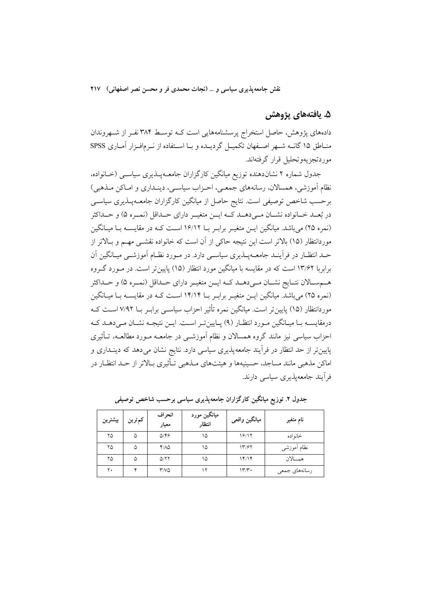### ۵. يافتەهاي پژوهش

دادههای پژوهش، حاصل استخراج پرسشنامههایی است کـه توسـط ۳۸۴ نفـر از شـهروندان منــاطق ۱۵ گانــه شــهر اصــفهان تكميــل گرديــده و بــا اســتفاده از نــرمافــزار آمــاري SPSS موردتجزيهوتحليل قرار گرفتهاند.

جدول شماره ۲ نشاندهنده توزیع میانگین کارگزاران جامعـهیــذیری سیاســی (خــانواده، نظام آموزشي، همسالان، رسانههاي جمعـي، احـزاب سياسـي، دينـداري و امـاكن مـذهبي) برحسب شاخص توصیفی است. نتایج حاصل از میانگین کارگزاران جامعـهپــذیری سیاســی در بُعــد خــانواده نشــان مــىدهــد كــه ايــن متغيــر داراي حــداقل (نمــره ۵) و حــداكثر (نمره ۲۵) میباشد. میانگین ایــن متغیــر برابـر بــا ۱۶/۱۲ اســت کــه در مقایســه بــا میــانگین موردانتظار (۱۵) بالاتر است این نتیجه حاکی از آن است که خانواده نقشــی مهــم و بــالاتر از حــد انتظــار در فرأينــد جامعـــهپــذيري سياســي دارد. در مــورد نظــام آموزشــي ميــانگين آن برابربا ۱۳/۶۲ است که در مقایسه با میانگین مورد انتظار (۱۵) پایین تر است. در مـورد گـروه هـمسـالان نتــايج نشــان مــى‹هــد كــه ايــن متغيــر داراي حــداقل (نمــره ۵) و حــداكثر (نمره ٢٥) میباشد. میانگین ایـن متغیـر برابـر بــا ١۴/١۴ اسـت کـه در مقایســه بـا میـانگین موردانتظار (۱۵) پایین تر است. میانگین نمره تأثیر احزاب سیاســی برابـر بــا ۷/۹۲ اســت کــه درمقایسـه بـا میـانگین مـورد انتظـار (۹) پـایینتـر اسـت. ایـن نتیجـه نشـان مـی دهـد کـه احزاب سیاسی نیز مانند گروه همسالان و نظام آموزشــی در جامعــه مــورد مطالعــه، تــأثیری پایین تر از حد انتظار در فرآیند جامعهپذیری سیاسی دارد. نتایج نشان میدهد که دینـداری و اماکن مذهبی مانند مساجد، حسینیهها و هیئتهای مـذهبی تـأثیری بـالاتر از حـد انتظـار در فر آیند جامعهپذیری سیاسی دارند.

| بيشترين | كمترين | انحر اف<br>معيار                   | میانگین مورد<br>انتظار | ميانگين واقعي | نام متغير     |
|---------|--------|------------------------------------|------------------------|---------------|---------------|
| ۲۵      | ۵      | $Q/\mathfrak{F}$                   | ۱۵                     | 18/17         | خانو اده      |
| ۲۵      | ۵      | 4/10                               | ۱۵                     | 1٣/۶٢         | نظام أموزشي   |
| ۲۵      | ۵      | Q/YY                               | ۱۵                     | 14/14         | همسالان       |
| ۲۰      |        | $\mathsf{r} \mathsf{v} \mathsf{o}$ |                        | ۱۳٬۳۰         | رسانەھاي جمعى |

جدول ۲. توزیع میانگین کارگزاران جامعه پذیری سیاسی برحسب شاخص توصیفی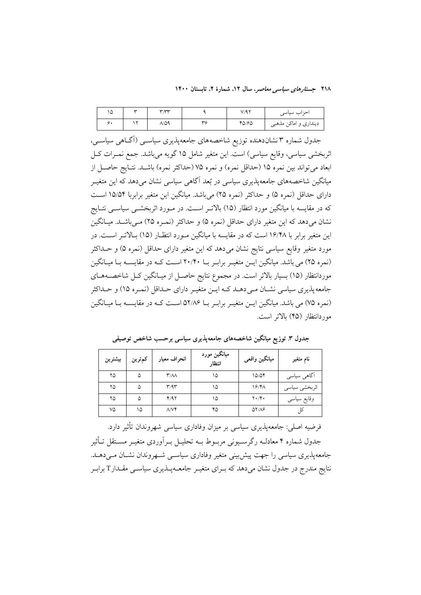۲۱۸ جست*ارهای سیاسی معاصر*، سال ۱۲، شمارهٔ ۲، تابستان ۱۴۰۰

| ۱۵ | سد | <b>wav</b> |    | V/97  | احز اب سیاسی          |
|----|----|------------|----|-------|-----------------------|
| ۰. |    | ۸/۵۹       | ٣c | 40/60 | دینداری و اماکن مذهبی |

جدول شماره ۳ نشاندهنده توزیع شاخصههای جامعهپذیری سیاســی (آگــاهی سیاســی، اثربخشی سیاسی، وقایع سیاسی) است. این متغیر شامل ۱۵ گویه میباشد. جمع نمـرات کـل ابعاد مي تواند بين نمره ١٥ (حداقل نمره) و نمره ٧۵ (حداكثر نمره) باشـد. نتـايج حاصـل از میانگین شاخصههای جامعهیذیری سیاسی در بُعد آگاهی سیاسی نشان میٖدهد که این متغیــر دارای حداقل (نمره ۵) و حداکثر (نمره ۲۵) میباشد. میانگین این متغیر برابربا ۱۵/۵۴ اسـت که در مقایسه با میانگین مورد انتظار (۱۵) بالاتـر اسـت. در مـورد اثربخشــی سیاســی نتــایج نشان میدهد که این متغیر دارای حداقل (نمره ۵) و حداکثر (نمـره ۲۵) مـیباشـد. میـانگین این متغیر برابر با ۱۶/۴۸ است که در مقایسه با میانگین مـورد انتظـار (۱۵) بـالاتـر اسـت. در مورد متغیر وقایع سیاسی نتایج نشان می۵هد که این متغیر دارای حداقل (نمره ۵) و حــداکثر (نمره ۲۵) می باشد. میانگین ایـن متغیـر برابـر بـا ۲۰/۴۰ اسـت کـه در مقایسـه بـا میـانگین موردانتظار (۱۵) بسیار بالاتر است. در مجموع نتایج حاصـل از میـانگین کـل شاخصــههــای جامعه پذیری سیاسی نشـان مـی دهــد کــه ایــن متغیــر دارای حــداقل (نمــره ۱۵) و حــداکثر (نمره ۷۵) می باشد. میانگین ایـن متغیـر برابـر بـا ۵۲/۸۶ اسـت کـه در مقایسـه بـا میـانگین موردانتظار (۴۵) بالاتر است.

| بيشترين | كمترين | انحراف معيار             | میانگین مورد<br>انتظار | ميانگين واقعي       | نام متغير     |
|---------|--------|--------------------------|------------------------|---------------------|---------------|
| ۲۵      |        | $\mathsf{r}/\mathsf{M}$  | ۱۵                     | 10/07               | اگاهی سیاسی   |
| ۲۵      |        | $\mathsf{r}/\mathsf{Ar}$ | ۱۵                     | 19/8                | اثربخشي سياسي |
| ۲۵      |        | Y/97                     | ۱۵                     | $Y \cdot / Y \cdot$ | وقايع سياسي   |
| ٧۵      | ۱۵     | $\Lambda/\mathrm{V}$ ۴   | ۴۵                     | $QY/\Lambda$ ۶      |               |

جدول ۳. توزیع میانگین شاخصههای جامعهپذیری سیاسی برحسب شاخص توصیفی

فرضیه اصلی: جامعهیذیری سیاسی بر میزان وفاداری سیاسی شهروندان تأثیر دارد. جدول شماره ۴ معادلـه رگرسـيوني مربـوط بــه تحليــل بــرآوردي متغيــر مســتقل تــأثير جامعه پذیری سیاسی را جهت پیش بینی متغیر وفاداری سیاسی شـهروندان نشـان مـی دهـد. نتایج مندرج در جدول نشان میدهد که بـرای متغیـر جامعــهیــذیری سیاســی مقــدار T برابـر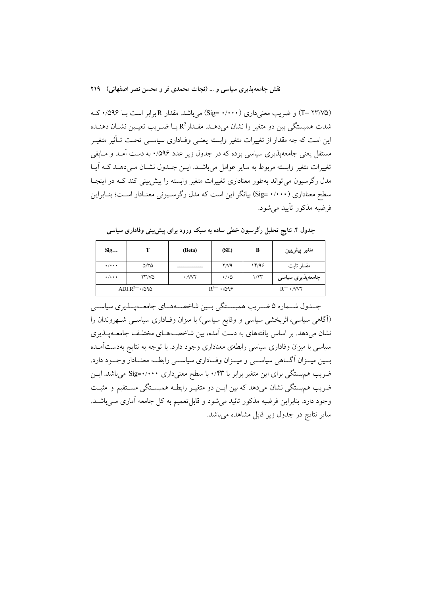(T= ۲۳/۷۵) و ضریب معنیداری (۱٬۰۰۰ =Sig) میباشد. مقدار R برابر است بــا ۰/۵۹۶ کـه شدت همبستگی بین دو متغیر را نشان میدهـد. مقـدار $\mathrm{R}^2$ یـا ضـریب تعیـین نشـان دهنـده این است که چه مقدار از تغییرات متغیر وابسته یعنـی وفـاداری سیاسـی تحـت تـأثیر متغیـر مستقل یعنی جامعهیذیری سیاسی بوده که در جدول زیر عدد ۵۹۶/۰ به دست آمـد و مـابقی تغییرات متغیر وابسته مربوط به سایر عوامل می باشـد. ایــن جــدول نشــان مــی دهــد کــه آیــا مدل رگرسیون می تواند بهطور معناداری تغییرات متغیر وابسته را پیش بینی کند کـه در اینجـا سطح معناداری (۱٬۰۰۰ =Sig) بیانگر این است که مدل رگرسـیونی معنـادار اسـت؛ بنـابراین فرضيه مذكور تأييد مي شود.

| Sig                               |                             | (Beta)                  | (SE)                      | B     | متغير پيشږيين    |  |  |
|-----------------------------------|-----------------------------|-------------------------|---------------------------|-------|------------------|--|--|
| $\bullet$ / $\bullet$ + $\bullet$ | $\Delta \mathcal{N} \Delta$ |                         | Y/Y                       | 14/99 | مقدار ثابت       |  |  |
| $\bullet$ / $\bullet$ + $\bullet$ | YY/NQ                       | $\cdot$ / $\vee$ $\vee$ | $\cdot$ / $\cdot$ $\circ$ | 1/77  | جامعەپذیری سیاسی |  |  |
| $ADJ.R^2 = \cdot 0.090$           |                             |                         | $R^2 = \cdot$ /098        |       | $R = \cdot N V$  |  |  |

جدول ۴. نتایج تحلیل رگرسیون خطی ساده به سبک ورود برای پیش بینی وفاداری سیاسی

جـدول شــماره ۵ ضــريب همبســتگي بــين شاخصــههــاي جامعــهيــذيري سياســي (آگاهی سیاسی، اثربخشی سیاسی و وقایع سیاسی) با میزان وفـاداری سیاســی شــهروندان را نشان میدهد. بر اساس یافتههای به دست آمده، بین شاخصـههـای مختلـف جامعـهیـذیری سیاسی با میزان وفاداری سیاسی رابطهی معناداری وجود دارد. با توجه به نتایج بهدستآمـده بسین میسزان آگساهی سیاسسی و میسزان وفساداری سیاسسی رابطسه معنسادار وجسود دارد. ضریب هم بستگی برای این متغیر برابر با ۰/۴۳ با سطح معنیداری ۰/۰۰۰+Sig می باشد. ایس ضریب هم بستگی نشان میدهد که بین ایــن دو متغیــر رابطــه همبســتگی مســتقیم و مثبــت وجود دارد. بنابراین فرضیه مذکور تائید می شود و قابل تعمیم به کل جامعه آماری مــیباشــد. سایر نتایج در جدول زیر قابل مشاهده می باشد.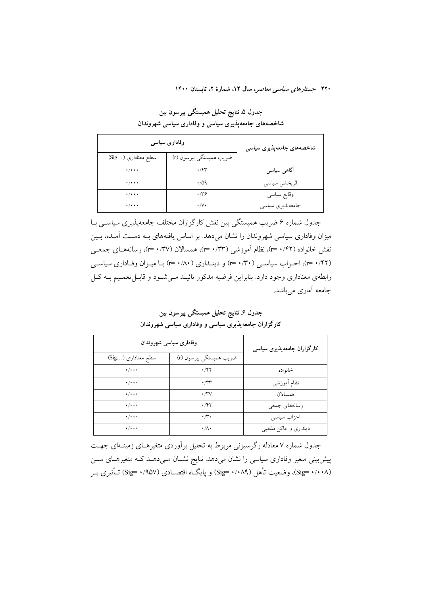جدول ۵ نتايج تحليل همبستگي پيرسون بين شاخصههای جامعهپذیری سیاسی و وفاداری سیاسی شهروندان

| وفاداری سیاسی                     | شاخصەھای جامعەپذیری سیاسی |                  |
|-----------------------------------|---------------------------|------------------|
| سطح معناداری (Sig)                | ضريب همبستگي پيرسون (r)   |                  |
| $\cdot$ / $\cdot$ + $\cdot$       | $\cdot$ /۴۳               | اگاهی سیاسی      |
| $\bullet$ / $\bullet$ + $\bullet$ | $\cdot$ /09               | اثربخشي سياسي    |
| $\bullet$ / $\bullet$ + $\bullet$ | $\cdot \pi$ ۶             | وقايع سياسى      |
| $\cdot$ / $\cdot$ + $\cdot$       | $\cdot/\vee\cdot$         | جامعەيذيرى سياسى |

جدول شمارہ ۶ ضریب ہمبستگی بین نقش کارگزاران مختلف جامعهیذیری سیاسبی بـا میزان وفاداری سیاسی شهروندان را نشان میدهد. بر اساس یافتههای بـه دسـت آمـده، بـین نقش خانواده (۲۲/۰۰ =۳)، نظام آموزشی (۰/۳۳ =۲)، همسالان (۰/۳۷ =۳)، رسانههـای جمعــی (٢٢). ٢=٢)، احـزاب سياسـي (٣٠/٣٠) و دينـداري (١/٨٠ =٢) بـا ميـزان وفـاداري سياسـي رابطهی معناداری وجود دارد. بنابراین فرضیه مذکور تائیـد مـی شـود و قابـل تعمـیم بــه کـل جامعه آماری می باشد.

وفاداري سياسي شهروندان کارگزاران جامعهپذیری سیاسی سطح معناداري (...Sig) ضريب همبستگي پيرسون (r)  $\cdot/\cdot\cdot$  $\cdot$ /۴۲ خانواده  $\cdot$ / $\cdot$   $\cdot$  $\cdot \pi$ نظام آموزشي  $\cdot/\cdot\cdot$  $\cdot \pi v$ همسالان  $\frac{1}{\sqrt{1+\epsilon}}$  $\cdot$ /۴۲ رسانەهاي جمعي  $\cdot$  /  $\cdot$  .  $\cdot \pi \cdot$ احزاب سياسى  $\cdot/\cdot\cdot$  $\cdot/\Lambda$ دینداری و اماکن مذهبی

جدول ۶. نتايج تحليل همبستگي پيرسون بين کارگزاران جامعهپذیری سیاسی و وفاداری سیاسی شهروندان

جدول شماره ۷ معادله رگرسیونی مربوط به تحلیل برآوردی متغیرهـای زمینـهای جهـت پیش بینی متغیر وفاداری سیاسی را نشان میدهد. نتایج نشـان مـیدهـد کـه متغیرهـای سـن (Sig= ۰/۰۰۸). وضعیت تأهل (۰/۰۸۹) (Sig= ۰/۰۸۹) و پایگ|ه اقتصـادی (۹۵۷/ Sig= ۰/۹۵۷) تـأثیری بـر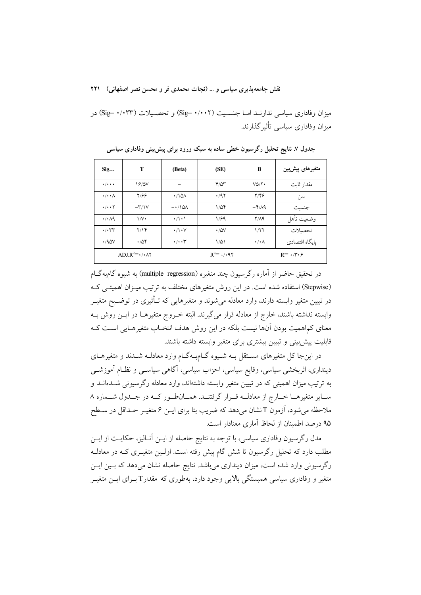میزان وفاداری سیاسی ندارنـد امـا جنسـیت (Sig= ۰/۰۰۲) و تحصـیلات (۱٬۰۳۳) در میزان وفاداری سیاسی تأثیر گذارند.

| Sig                               | т                                        | (Beta)                      | (SE)         | B                             | متغیرهای پیشبین |
|-----------------------------------|------------------------------------------|-----------------------------|--------------|-------------------------------|-----------------|
| $\cdot$ / $\cdot$ + $\cdot$       | 18/0V                                    |                             | $Y/\Delta Y$ | VQ/Y                          | مقدار ثابت      |
| $\cdot/\cdot\cdot\wedge$          | $Y/\mathcal{G}\mathcal{G}$               | $\cdot$ /101                | .47          | $Y/Y$ ۶                       | سر',            |
| $\cdot$ / $\cdot$ $\cdot$ $\cdot$ | $-\mathsf{r}/\mathsf{V}$                 | $-110\lambda$               | $1/\Delta f$ | $-\frac{9}{2}$                | جنسيت           |
| $\cdot$ / $\cdot$ $\wedge$ 9      | $\mathcal{N}$                            | $\cdot/\cdot \cdot$         | 1/99         | Y/A9                          | وضعيت تأهل      |
| $\cdot$ / $\cdot$ rr              | Y/Y                                      | $\cdot/\cdot$ $\vee$        | $\cdot$ /0V  | 1/77                          | تحصىلات         |
| .40V                              | $\cdot$ /04                              | $\cdot/\cdot\cdot$          | ۱۵۱          | $\cdot/\cdot \wedge$          | يايگاه اقتصادي  |
|                                   | ADLR <sup>2</sup> = $\cdot$ / $\cdot$ AY | $R^2 = \cdot$ / $\cdot$ 9.7 |              | $R = \cdot \pi \cdot \varphi$ |                 |

جدول ۷ـ نتایج تحلیل رگرسیون خطی ساده به سبک ورود برای پیش بینی وفاداری سیاسی

در تحقیق حاضر از آماره رگرسیون چند متغیره (multiple regression) به شیوه گامبهگـام (Stepwise) استفاده شده است. در این روش متغیرهای مختلف به ترتیب میـزان اهمیتـی کـه در تبیین متغیر وابسته دارند، وارد معادله میشوند و متغیرهایی که تــأثیری در توضــیح متغیــر وابسته نداشته باشند، خارج از معادله قرار میگیرند. البته خـروج متغیرهــا در ایــن روش بــه معنای کماهمیت بودن آنها نیست بلکه در این روش هدف انتخـاب متغیرهـایی اسـت کـه قابلیت پیش بینی و تبیین بیشتری برای متغیر وابسته داشته باشند.

در این جا کل متغیرهای مستقل بـه شـیوه گــامبـهگــام وارد معادلــه شــدند و متغیرهــای دینداری، اثربخشی سیاسی، وقایع سیاسی، احزاب سیاسی، آگاهی سیاســی و نظــام آموزشــی به ترتیب میزان اهمیتی که در تبیین متغیر وابسته داشتهاند، وارد معادله رگرسیونی شــدمانــد و سـاير متغيرهـا خــارج از معادلــه قــرار گرفتنــد. همــانطــور كــه در جــدول شـــماره ٨ ملاحظه میشود، آزمون T نشان میدهد که ضریب بتا برای ایــن ۶ متغیــر حــداقل در ســطح ۹۵ درصد اطمینان از لحاظ آماری معنادار است.

مدل رگرسیون وفاداری سیاسی، با توجه به نتایج حاصله از ایــن آنــالیز، حکایــت از ایــن مطلب دارد که تحلیل رگرسیون تا شش گام پیش رفته است. اولـین متغیــری کــه در معادلــه رگرسیونی وارد شده است، میزان دینداری میباشد. نتایج حاصله نشان میدهد که بسین ایسن متغیر و وفاداری سیاسی همبستگی بالایی وجود دارد، بهطوری که مقدارT بـرای ایــن متغیــر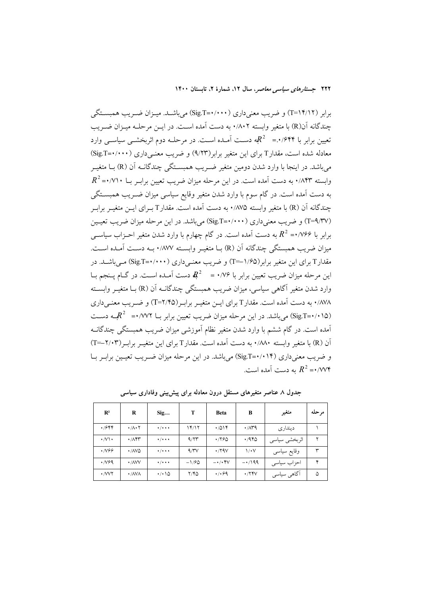برابر (۱۴/۱۲=T) و ضریب معنیداری (۰۰۰۰+Sig.T) میباشـد. میــزان ضــریب همبســتگی چندگانه ان(R) با متغیر وابسته ۰/۸۰۲ به دست امده اسـت. در ایــن مرحلــه میــزان ضــریب تعیین برابر با ۰٬۶۴۴ $R^2$  = ۰٬۶۴۴مه دسـت آمـده اسـت. در مرحلــه دوم اثربخشــی سیاســی وارد معادله شده است. مقدارT برای این متغیر برابر(۹/۲۳) و ضریب معنــی(اری (۰۰۰۰+Sig.T= میباشد. در اینجا با وارد شدن دومین متغیر ضـریب همبســتگی چندگانــه ان (R) بــا متغیــر  $R^2$ –۰/۷۱۰ به دست آمده است. در این مرحله میزان ضریب تعیین برابـر بــا ۰/۷۱۰ $R^2$ به دست امده است. در گام سوم با وارد شدن متغیر وقایع سیاسی میزان ضـریب همبســتگی چندگانه ان (R) با متغیر وابسته ۱۸۷۵. به دست امده است. مقدارT بــرای ایــن متغیــر برابــر (T=۹/۳۷) و ضریب معنیداری (۱۰۰۰+Sig.T) میباشد. در این مرحله میزان ضریب تعیــین برابر با ۷۶۶–  $R^2$  به دست آمده است. در گام چهارم با وارد شدن متغیر احــزاب سیاســی میزان ضریب همبستگی چندگانه ان (R) بــا متغیــر وابســته ۰/۸۷۷ بــه دســت امــده اســت. مقدار T برای این متغیر برابر(۱/۶۵–T) و ضریب معنــی۱راری (۲۰۰۰+Sig.T) مــیباشــد. در ین مرحله میزان ضریب تعیین برابر با ۰/۷۶ =  $\bm{R}^2$  دست آمـده اسـت. در گــام پــنجم بــا  $\vdots$ وارد شدن متغیر اگاهی سیاسی، میزان ضریب همبستگی چندگانــه ان (R) بــا متغیــر وابســته ۰/۸۷۸ به دست آمده است. مقدار T برای ایــن متغیــر برابــر(T=۲/۴۵) و ضــریب معنــیداری ن (Sig.T=•/•۱۵) میباشد. در این مرحله میزان ضریب تعیین برابر بــا ۰/۷۷۲+ $R^2$ ـه دســت امده است. در گام ششم با وارد شدن متغیر نظام اموزشی میزان ضریب همبستگی چندگانــه ان (R) با متغیر وابسته ۰/۸۸۰ به دست امده است. مقدار T برای این متغیــر برابــر(۲/۰۳=T) و ضریب معنیداری (۱۴++Sig.T) میباشد. در این مرحله میزان ضــریب تعیــین برابــر بــا به دست آمده است.  $R^2$ -۰/۷۷۴

| $\mathbf{R}^2$            | R                               | Sig                         | T                | <b>Beta</b>                          | в              | متغير         | مر حله |
|---------------------------|---------------------------------|-----------------------------|------------------|--------------------------------------|----------------|---------------|--------|
| $\cdot$ /۶۴۴              | $\cdot/\lambda\cdot$ $\uparrow$ | $\cdot$ / $\cdot$ + $\cdot$ | ۱۴/۱۲            | .7014                                | $\cdot$ /159   | دينداري       |        |
| $\cdot$ /V \ $\cdot$      | $\cdot$ / $\wedge$ $\uparrow$   | $\cdot$ / $\cdot$ + $\cdot$ | 9/77             | .790                                 | ۱٬۹۴۵          | اثربخشي سياسي | ۲      |
| 746. •                    | • INVQ                          | $\cdot$ / $\cdot$ + $\cdot$ | $4/\gamma\gamma$ | $\cdot$ /۲۹۷                         | $\sqrt{\cdot}$ | وقايع سياسى   | ٣      |
| $\cdot$ /v۶9              | $\cdot$ /AVV                    | $\cdot$ / $\cdot$ + $\cdot$ | $-1/90$          | $ \cdot$ / $\cdot$ $\uparrow$ $\vee$ | $-1/199$       | احزاب سياسى   | ۴      |
| $\cdot$ / $VV$ $\uparrow$ | $\cdot$ /AVA                    | ۱۵۰۰۰                       | ۲/۴۵             | .499                                 | .754V          | آگاهی سیاسی   | ۵      |

جدول ۸ عناصر متغیرهای مستقل درون معادله برای پیش**بینی وفاداری سیاسی**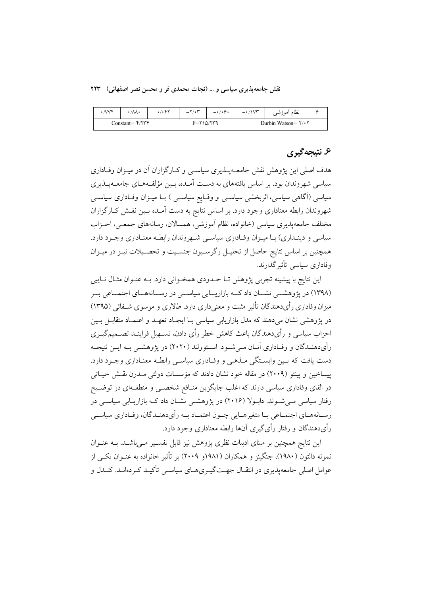نقش جامعه یذیری سیاسی و … (نجات محمدی فر و محسن نصر اصفهانی) ۲۲۳

| $\mathcal{W}$ | $1/\lambda$       | . / | $-\7/4$ | $-1/2$ .      | $ \cdot$ / $\sqrt{r}$                        | نظام أموزشى |  |
|---------------|-------------------|-----|---------|---------------|----------------------------------------------|-------------|--|
|               | Constant= $Y/YYY$ |     |         | $F = 710/779$ | Durbin Watson= $\mathbf{Y} \cdot \mathbf{Y}$ |             |  |

# ۶. نتىجەگېرى

هدف اصلی این پژوهش نقش جامعــهیــذیری سیاســی و کــارگزاران آن در میــزان وفــاداری سیاسی شهروندان بود. بر اساس یافتههای به دست آمـده، بـین مؤلفـههـای جامعـهیـذیری سیاسی (آگاهی سیاسی، اثربخشی سیاسـی و وقـایع سیاسـی ) بــا میــزان وفــاداری سیاســی شهروندان رابطه معناداری وجود دارد. بر اساس نتایج به دست آمـده بـین نقـش کـارگزاران مختلف جامعهپذیری سیاسی (خانواده، نظام آموزشی، همسالان، رسانههای جمعـی، احـزاب سیاسی و دینـداری) بـا میـزان وفـاداری سیاسـی شـهروندان رابطـه معنـاداری وجـود دارد. همچنین بر اساس نتایج حاصل از تحلیـل رگرسـیون جنسـیت و تحصـیلات نیـز در میـزان وفاداری سیاسی تأثیر گذارند.

این نتایج با پیشینه تجربی پژوهش تـا حــدودی همخــوانی دارد. بــه عنــوان مثــال نــایبی (۱۳۹۸) در پژوهشمی نشسان داد کسه بازاریسابی سیاسمی در رسسانههسای اجتمساعی بسر میزان وفاداری رأیدهندگان تأثیر مثبت و معنی داری دارد. طالاری و موسوی شـفائی (۱۳۹۵) در پژوهشی نشان میدهند که مدل بازاریابی سیاسی بـا ایجـاد تعهـد و اعتمـاد متقابـل بـین احزاب سیاسی و رأیدهندگان باعث کاهش خطر رأی دادن، تسـهیل فراینـد تصــمیمگیــری رأىدهنـدگان و وفـادارى آنــان مــى شــود. اســتوولند (٢٠٢٠) در پژوهشــى بــه ايــن نتيجــه دست یافت که بین وابستگی مـذهبی و وفـاداری سیاسـی رابطـه معنـاداری وجـود دارد. ییساخین و پینتو (۲۰۰۹) در مقاله خود نشان دادند که مؤسسات دولتی مــدرن نقــش حیــاتی در القای وفاداری سیاسی دارند که اغلب جایگزین منــافع شخصــی و منطقــهای در توضــیح رفتار سیاسی می شـوند. دابـولا (۲۰۱۶) در یژوهشـی نشـان داد کـه بازاریـابی سیاسـی در رسـانههـاي اجتمـاعي بـا متغيرهـايي چـون اعتمـاد بـه رأىدهنـدگان، وفـاداري سياسـي رأي دهندگان و رفتار رأي گيري آنها رابطه معناداري وجود دارد.

این نتایج همچنین بر مبنای ادبیات نظری پژوهش نیز قابل تفسـیر مـیباشـد. بـه عنــوان نمونه دالتون (۱۹۸۰)، جنگینز و همکاران (۱۹۸۱و ۲۰۰۹) بر تأثیر خانواده به عنــوان یکــی از عوامل اصلي جامعه پذيري در انتقــال جهــت گيــري هــاي سياســي تأكيــد كــردهانــد. كنــدل و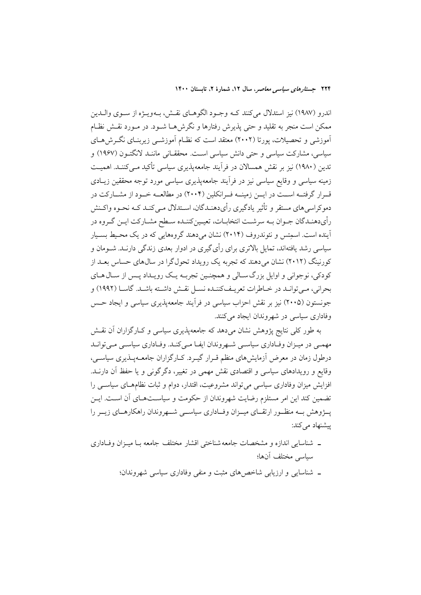اندرو (١٩٨٧) نيز استدلال مي كنند كــه وجــود الگوهــاي نقــش، بــهويــژه از ســوي والــدين ممکن است منجر به تقلید و حتبی پذیرش رفتارها و نگرش هــا شــود. در مــورد نقــش نظــام آموزشی و تحصیلات، پورتا (۲۰۰۲) معتقد است که نظـام آموزشــی زیربنــای نگــرش۵حـای سیاسی، مشارکت سیاسی و حتی دانش سیاسی است. محققـانی ماننــد لانگتــون (۱۹۶۷) و تدین (۱۹۸۰) نیز بر نقش همسالان در فرآیند جامعهپذیری سیاسی تأکید مـی کننـد. اهمیـت زمینه سیاسی و وقایع سیاسی نیز در فرآیند جامعهپذیری سیاسی مورد توجه محققین زیـادی قـرار گرفتــه اســت در ايــن زمينــه فـرانكلين (٢٠٠۴) در مطالعــه خــود از مشــاركت در دموکراسی های مستقر و تأثیر یادگیری رأیدهنـدگان، اسـتدلال مـی کنـد کـه نحـوه واکـنش رأىدهنـدگان جـوان بـه سرشـت انتخابـات، تعيـينكننـده سـطح مشـاركت ايـن گـروه در .<br>آینده است. اسمتس و نئوندروف (۲۰۱۴) نشان می دهند گروههایی که در یک محـیط بسـیار سیاسی رشد یافتهاند، تمایل بالاتری برای رأی گیری در ادوار بعدی زندگی دارنــد. شــومان و کورنینگ (۲۰۱۲) نشان می دهند که تجربه یک رو بداد تحول گرا در سال های حساس بعـد از کودکی، نوجوانی و اوایل بزرگ سـالی و همچنـین تجربـه یـک رویـداد پـس از سـال۱هـای بحراني، مـي توانـد در خـاطرات تعريـفكننـده نسـل نقـش داشـته باشـد. گاسـا (١٩٩٢) و جونستون (۲۰۰۵) نیز بر نقش احزاب سیاسی در فرأیند جامعهپذیری سیاسی و ایجاد حس وفاداری سیاسی در شهروندان ایجاد می کنند.

به طور کلی نتایج پژوهش نشان میدهد که جامعهپذیری سیاسی و کـارگزاران آن نقـش مهمی در میزان وفاداری سیاسی شهروندان ایف می کند. وفاداری سیاسی می تواند درطول زمان در معرض آزمایشهای منظم قـرار گیـرد. کـارگزاران جامعــهیــذیری سیاســی، وقایع و رویدادهای سیاسی و اقتصادی نقش مهمی در تغییر، دگرگونی و یا حفظ آن دارنــد. افزایش میزان وفاداری سیاسی می تواند مشروعیت، اقتدار، دوام و ثبات نظامهـای سیاســی را تضمین کند این امر مستلزم رضایت شهروندان از حکومت و سیاســتهــای آن اســت. ایــن پـــۋوهش بــه منظــور ارتقـــای میـــزان وفـــاداری سیاســـی شـــهروندان راهکارهـــای زیـــر را پیشنهاد می کند:

- ۔ شناسایی اندازہ و مشخصات جامعه شناختی اقشار مختلف جامعه بـا میـزان وفــاداری سياسي مختلف آنها؛
	- ـ شناسایی و ارزیابی شاخص های مثبت و منفی وفاداری سیاسی شهروندان؛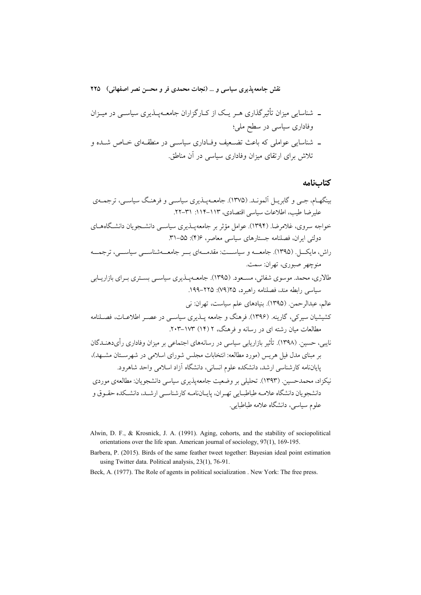- ـ شناسایی میزان تأثیرگذاری هـر یـک از کـارگزاران جامعــهپــذیری سیاســی در میــزان وفاداری سیاسی در سطح ملی؛
- ـ شناسایی عواملی که باعث تضعیف وفـاداری سیاسـی در منطقـهای خـاص شـده و تلاش برای ارتقای میزان وفاداری سیاسی در آن مناطق.

كتابنامه

- Alwin, D. F., & Krosnick, J. A. (1991). Aging, cohorts, and the stability of sociopolitical orientations over the life span. American journal of sociology, 97(1), 169-195.
- Barbera, P. (2015). Birds of the same feather tweet together: Bayesian ideal point estimation using Twitter data. Political analysis, 23(1), 76-91.
- Beck, A. (1977). The Role of agents in political socialization. New York: The free press.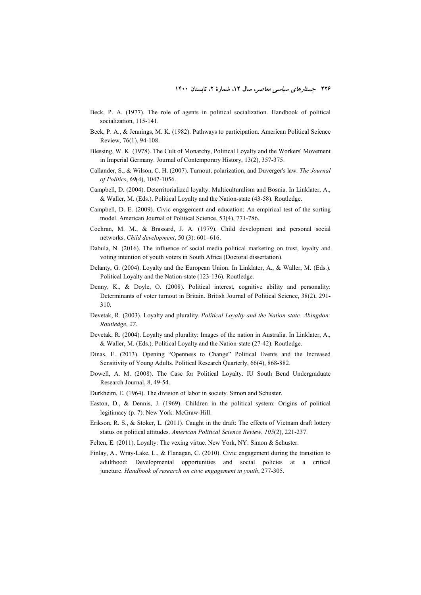- Beck, P. A. (1977). The role of agents in political socialization. Handbook of political socialization, 115-141.
- Beck, P. A., & Jennings, M. K. (1982). Pathways to participation. American Political Science Review, 76(1), 94-108.
- Blessing, W. K. (1978). The Cult of Monarchy, Political Loyalty and the Workers' Movement in Imperial Germany. Journal of Contemporary History, 13(2), 357-375.
- Callander, S., & Wilson, C. H. (2007). Turnout, polarization, and Duverger's law. *The Journal of Politics*, *69*(4), 1047-1056.
- Campbell, D. (2004). Deterritorialized loyalty: Multiculturalism and Bosnia. In Linklater, A., & Waller, M. (Eds.). Political Loyalty and the Nation-state (43-58). Routledge.
- Campbell, D. E. (2009). Civic engagement and education: An empirical test of the sorting model. American Journal of Political Science, 53(4), 771-786.
- Cochran, M. M., & Brassard, J. A. (1979). Child development and personal social networks. *Child development*, 50 (3): 601–616.
- Dabula, N. (2016). The influence of social media political marketing on trust, loyalty and voting intention of youth voters in South Africa (Doctoral dissertation).
- Delanty, G. (2004). Loyalty and the European Union. In Linklater, A., & Waller, M. (Eds.). Political Loyalty and the Nation-state (123-136). Routledge.
- Denny, K., & Doyle, O. (2008). Political interest, cognitive ability and personality: Determinants of voter turnout in Britain. British Journal of Political Science, 38(2), 291- 310.
- Devetak, R. (2003). Loyalty and plurality. *Political Loyalty and the Nation-state. Abingdon: Routledge*, *27*.
- Devetak, R. (2004). Loyalty and plurality: Images of the nation in Australia. In Linklater, A., & Waller, M. (Eds.). Political Loyalty and the Nation-state (27-42). Routledge.
- Dinas, E. (2013). Opening "Openness to Change" Political Events and the Increased Sensitivity of Young Adults. Political Research Quarterly, 66(4), 868-882.
- Dowell, A. M. (2008). The Case for Political Loyalty. IU South Bend Undergraduate Research Journal, 8, 49-54.
- Durkheim, E. (1964). The division of labor in society. Simon and Schuster.
- Easton, D., & Dennis, J. (1969). Children in the political system: Origins of political legitimacy (p. 7). New York: McGraw-Hill.
- Erikson, R. S., & Stoker, L. (2011). Caught in the draft: The effects of Vietnam draft lottery status on political attitudes. *American Political Science Review*, *105*(2), 221-237.
- Felten, E. (2011). Loyalty: The vexing virtue. New York, NY: Simon & Schuster.
- Finlay, A., Wray-Lake, L., & Flanagan, C. (2010). Civic engagement during the transition to adulthood: Developmental opportunities and social policies at a critical juncture. *Handbook of research on civic engagement in youth*, 277-305.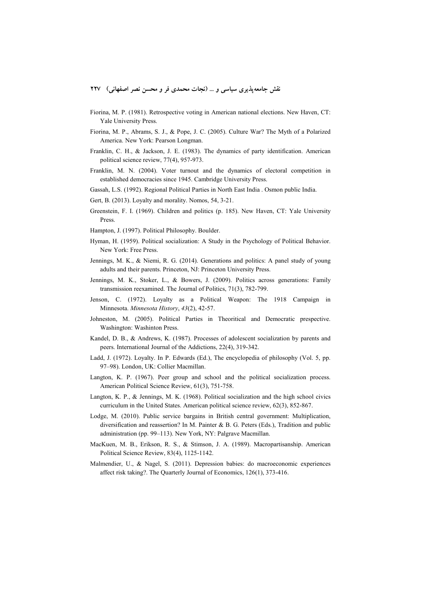- Fiorina, M. P. (1981). Retrospective voting in American national elections. New Haven, CT: Yale University Press.
- Fiorina, M. P., Abrams, S. J., & Pope, J. C. (2005). Culture War? The Myth of a Polarized America. New York: Pearson Longman.
- Franklin, C. H., & Jackson, J. E. (1983). The dynamics of party identification. American political science review, 77(4), 957-973.
- Franklin, M. N. (2004). Voter turnout and the dynamics of electoral competition in established democracies since 1945. Cambridge University Press.
- Gassah, L.S. (1992). Regional Political Parties in North East India . Osmon public India.
- Gert, B. (2013). Loyalty and morality. Nomos, 54, 3-21.
- Greenstein, F. I. (1969). Children and politics (p. 185). New Haven, CT: Yale University Press.
- Hampton, J. (1997). Political Philosophy. Boulder.
- Hyman, H. (1959). Political socialization: A Study in the Psychology of Political Behavior. New York: Free Press.
- Jennings, M. K., & Niemi, R. G. (2014). Generations and politics: A panel study of young adults and their parents. Princeton, NJ: Princeton University Press.
- Jennings, M. K., Stoker, L., & Bowers, J. (2009). Politics across generations: Family transmission reexamined. The Journal of Politics, 71(3), 782-799.
- Jenson, C. (1972). Loyalty as a Political Weapon: The 1918 Campaign in Minnesota. *Minnesota History*, *43*(2), 42-57.
- Johneston, M. (2005). Political Parties in Theoritical and Democratic prespective. Washington: Washinton Press.
- Kandel, D. B., & Andrews, K. (1987). Processes of adolescent socialization by parents and peers. International Journal of the Addictions, 22(4), 319-342.
- Ladd, J. (1972). Loyalty. In P. Edwards (Ed.), The encyclopedia of philosophy (Vol. 5, pp. 97–98). London, UK: Collier Macmillan.
- Langton, K. P. (1967). Peer group and school and the political socialization process. American Political Science Review, 61(3), 751-758.
- Langton, K. P., & Jennings, M. K. (1968). Political socialization and the high school civics curriculum in the United States. American political science review, 62(3), 852-867.
- Lodge, M. (2010). Public service bargains in British central government: Multiplication, diversification and reassertion? In M. Painter & B. G. Peters (Eds.), Tradition and public administration (pp. 99–113). New York, NY: Palgrave Macmillan.
- MacKuen, M. B., Erikson, R. S., & Stimson, J. A. (1989). Macropartisanship. American Political Science Review, 83(4), 1125-1142.
- Malmendier, U., & Nagel, S. (2011). Depression babies: do macroeconomic experiences affect risk taking?. The Quarterly Journal of Economics, 126(1), 373-416.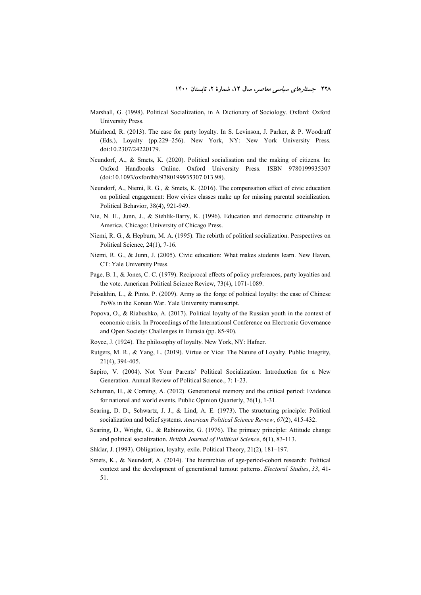- Marshall, G. (1998). Political Socialization, in A Dictionary of Sociology. Oxford: Oxford University Press.
- Muirhead, R. (2013). The case for party loyalty. In S. Levinson, J. Parker, & P. Woodruff (Eds.), Loyalty (pp.229–256). New York, NY: New York University Press. doi:10.2307/24220179.
- Neundorf, A., & Smets, K. (2020). Political socialisation and the making of citizens. In: Oxford Handbooks Online. Oxford University Press. ISBN 9780199935307 (doi:10.1093/oxfordhb/9780199935307.013.98).
- Neundorf, A., Niemi, R. G., & Smets, K. (2016). The compensation effect of civic education on political engagement: How civics classes make up for missing parental socialization. Political Behavior, 38(4), 921-949.
- Nie, N. H., Junn, J., & Stehlik-Barry, K. (1996). Education and democratic citizenship in America. Chicago: University of Chicago Press.
- Niemi, R. G., & Hepburn, M. A. (1995). The rebirth of political socialization. Perspectives on Political Science, 24(1), 7-16.
- Niemi, R. G., & Junn, J. (2005). Civic education: What makes students learn. New Haven, CT: Yale University Press.
- Page, B. I., & Jones, C. C. (1979). Reciprocal effects of policy preferences, party loyalties and the vote. American Political Science Review, 73(4), 1071-1089.
- Peisakhin, L., & Pinto, P. (2009). Army as the forge of political loyalty: the case of Chinese PoWs in the Korean War. Yale University manuscript.
- Popova, O., & Riabushko, A. (2017). Political loyalty of the Russian youth in the context of economic crisis. In Proceedings of the Internationsl Conference on Electronic Governance and Open Society: Challenges in Eurasia (pp. 85-90).
- Royce, J. (1924). The philosophy of loyalty. New York, NY: Hafner.
- Rutgers, M. R., & Yang, L. (2019). Virtue or Vice: The Nature of Loyalty. Public Integrity, 21(4), 394-405.
- Sapiro, V. (2004). Not Your Parents' Political Socialization: Introduction for a New Generation. Annual Review of Political Science., 7: 1-23.
- Schuman, H., & Corning, A. (2012). Generational memory and the critical period: Evidence for national and world events. Public Opinion Quarterly, 76(1), 1-31.
- Searing, D. D., Schwartz, J. J., & Lind, A. E. (1973). The structuring principle: Political socialization and belief systems. *American Political Science Review*, *67*(2), 415-432.
- Searing, D., Wright, G., & Rabinowitz, G. (1976). The primacy principle: Attitude change and political socialization. *British Journal of Political Science*, *6*(1), 83-113.
- Shklar, J. (1993). Obligation, loyalty, exile. Political Theory, 21(2), 181–197.
- Smets, K., & Neundorf, A. (2014). The hierarchies of age-period-cohort research: Political context and the development of generational turnout patterns. *Electoral Studies*, *33*, 41- 51.